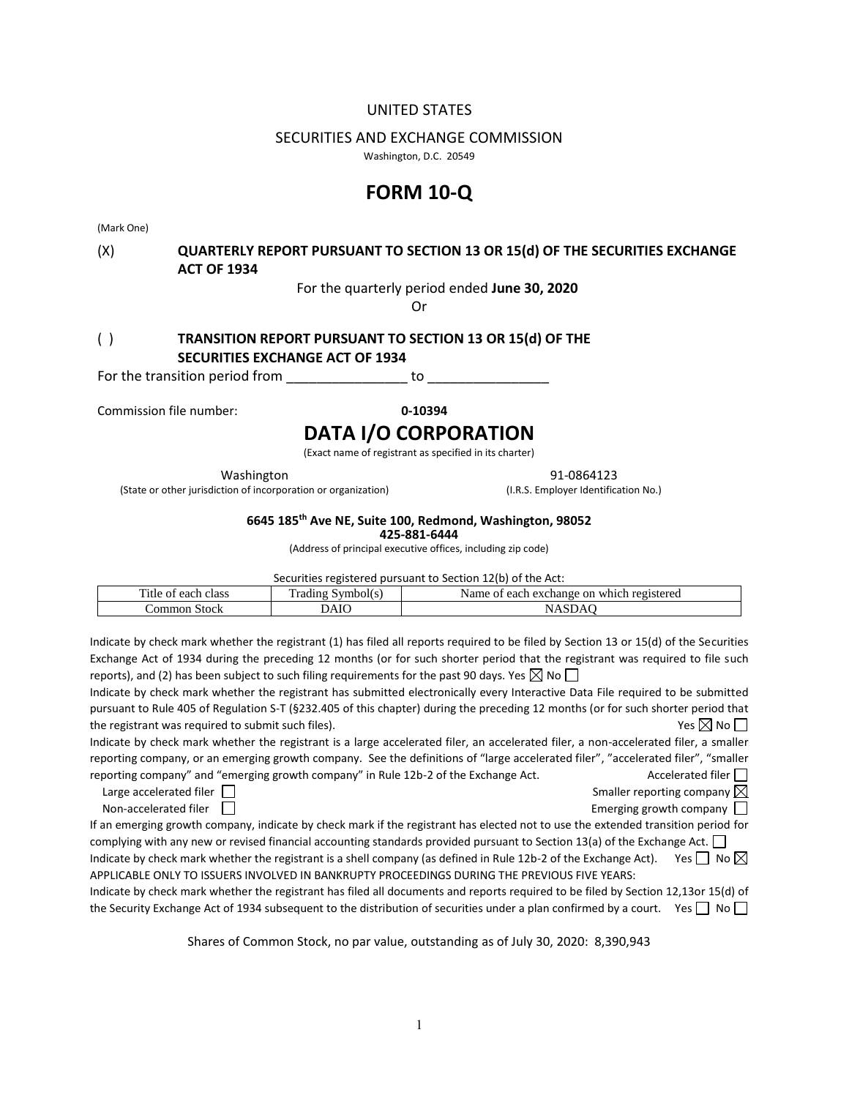## UNITED STATES

## SECURITIES AND EXCHANGE COMMISSION

Washington, D.C. 20549

## **FORM 10-Q**

(Mark One)

## (X) **QUARTERLY REPORT PURSUANT TO SECTION 13 OR 15(d) OF THE SECURITIES EXCHANGE ACT OF 1934**

For the quarterly period ended **June 30, 2020**

Or

## ( ) **TRANSITION REPORT PURSUANT TO SECTION 13 OR 15(d) OF THE SECURITIES EXCHANGE ACT OF 1934**

For the transition period from The control of to the transition period from The control of the to  $\sim$ 

Commission file number: **0-10394**

## **DATA I/O CORPORATION**

(Exact name of registrant as specified in its charter)

Washington 91-0864123

(State or other jurisdiction of incorporation or organization) (I.R.S. Employer Identification No.)

## **6645 185th Ave NE, Suite 100, Redmond, Washington, 98052**

**425-881-6444**

(Address of principal executive offices, including zip code)

Securities registered pursuant to Section 12(b) of the Act:

| class<br>each<br>itie<br>-01 | $\mathbf{r}$<br>∵mbon. | registerea<br>Name<br>$\alpha v$<br>on<br>each<br>:har<br>X/F<br>nï<br>which<br>noe<br>◡◠◟ |
|------------------------------|------------------------|--------------------------------------------------------------------------------------------|
| ∴ommon<br><b>Stock</b>       | daic                   |                                                                                            |

Indicate by check mark whether the registrant (1) has filed all reports required to be filed by Section 13 or 15(d) of the Securities Exchange Act of 1934 during the preceding 12 months (or for such shorter period that the registrant was required to file such reports), and (2) has been subject to such filing requirements for the past 90 days. Yes  $\boxtimes$  No  $\Box$ 

Indicate by check mark whether the registrant has submitted electronically every Interactive Data File required to be submitted pursuant to Rule 405 of Regulation S-T (§232.405 of this chapter) during the preceding 12 months (or for such shorter period that the registrant was required to submit such files).  $\Box$  Yes  $\Box$  No  $\Box$ 

Indicate by check mark whether the registrant is a large accelerated filer, an accelerated filer, a non-accelerated filer, a smaller reporting company, or an emerging growth company. See the definitions of "large accelerated filer", "accelerated filer", "smaller reporting company" and "emerging growth company" in Rule 12b-2 of the Exchange Act.  $\Box$  Accelerated filer  $\Box$ 

Large accelerated filer  $\Box$ 

Non-accelerated filer  $\Box$ 

If an emerging growth company, indicate by check mark if the registrant has elected not to use the extended transition period for complying with any new or revised financial accounting standards provided pursuant to Section 13(a) of the Exchange Act. Indicate by check mark whether the registrant is a shell company (as defined in Rule 12b-2 of the Exchange Act). Yes  $\Box$  No  $\boxtimes$ APPLICABLE ONLY TO ISSUERS INVOLVED IN BANKRUPTY PROCEEDINGS DURING THE PREVIOUS FIVE YEARS:

Indicate by check mark whether the registrant has filed all documents and reports required to be filed by Section 12,13or 15(d) of the Security Exchange Act of 1934 subsequent to the distribution of securities under a plan confirmed by a court. Yes  $\Box$  No  $\Box$ 

Shares of Common Stock, no par value, outstanding as of July 30, 2020: 8,390,943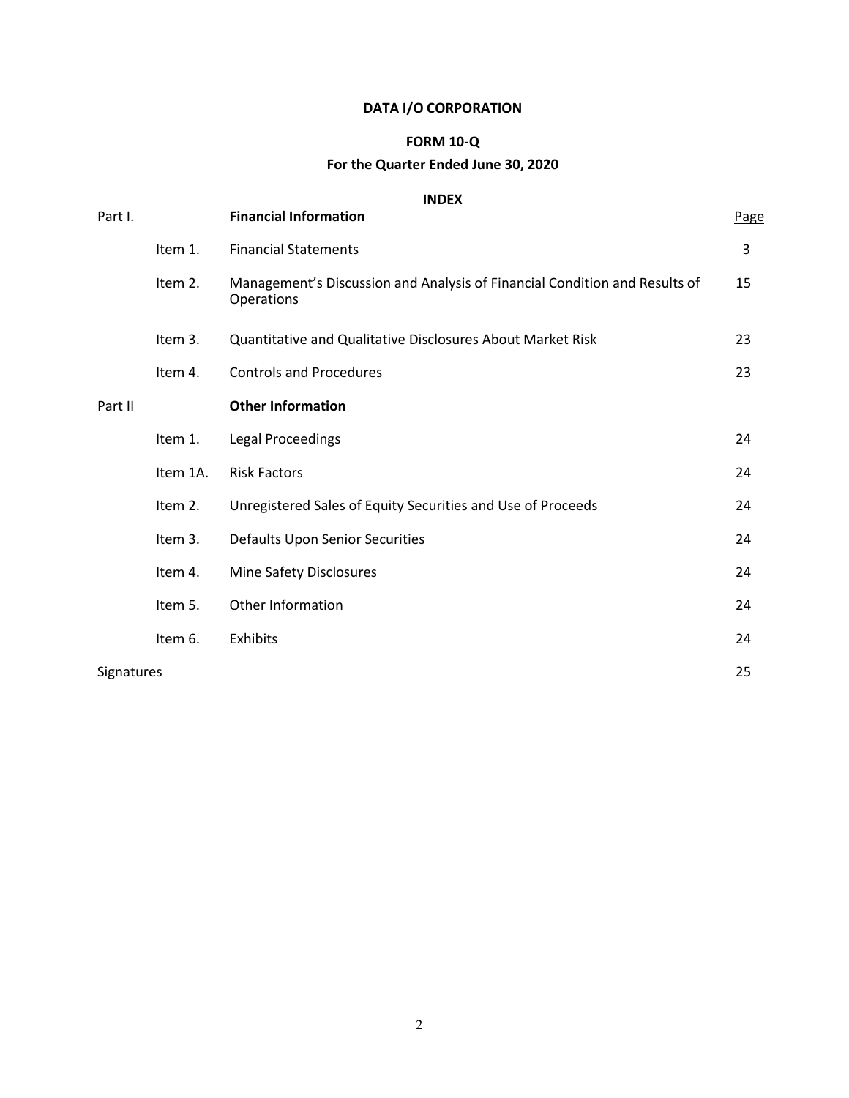# **DATA I/O CORPORATION**

## **FORM 10-Q**

## **For the Quarter Ended June 30, 2020**

## **INDEX**

| Part I.    |          | <b>Financial Information</b>                                                             | Page |
|------------|----------|------------------------------------------------------------------------------------------|------|
|            | Item 1.  | <b>Financial Statements</b>                                                              | 3    |
|            | Item 2.  | Management's Discussion and Analysis of Financial Condition and Results of<br>Operations | 15   |
|            | Item 3.  | Quantitative and Qualitative Disclosures About Market Risk                               | 23   |
|            | Item 4.  | <b>Controls and Procedures</b>                                                           | 23   |
| Part II    |          | <b>Other Information</b>                                                                 |      |
|            | Item 1.  | Legal Proceedings                                                                        | 24   |
|            | Item 1A. | <b>Risk Factors</b>                                                                      | 24   |
|            | Item 2.  | Unregistered Sales of Equity Securities and Use of Proceeds                              | 24   |
|            | Item 3.  | Defaults Upon Senior Securities                                                          | 24   |
|            | Item 4.  | Mine Safety Disclosures                                                                  | 24   |
|            | Item 5.  | Other Information                                                                        | 24   |
|            | Item 6.  | Exhibits                                                                                 | 24   |
| Signatures |          |                                                                                          | 25   |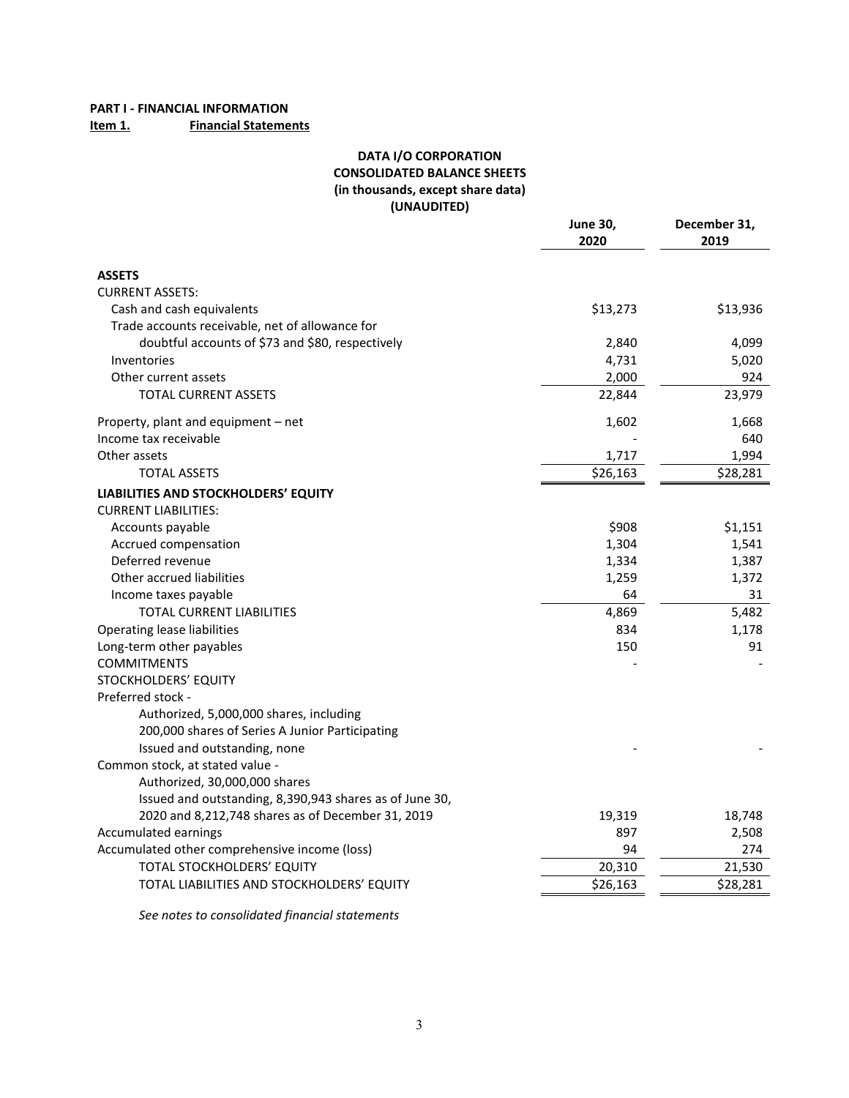## **PART I - FINANCIAL INFORMATION Item 1. Financial Statements**

## **DATA I/O CORPORATION CONSOLIDATED BALANCE SHEETS (in thousands, except share data) (UNAUDITED)**

|                                                                     | <b>June 30,</b><br>2020 | December 31,<br>2019 |
|---------------------------------------------------------------------|-------------------------|----------------------|
| <b>ASSETS</b>                                                       |                         |                      |
| <b>CURRENT ASSETS:</b>                                              |                         |                      |
| Cash and cash equivalents                                           | \$13,273                | \$13,936             |
| Trade accounts receivable, net of allowance for                     |                         |                      |
| doubtful accounts of \$73 and \$80, respectively                    | 2,840                   | 4,099                |
| Inventories                                                         | 4,731                   | 5,020                |
| Other current assets                                                | 2,000                   | 924                  |
| <b>TOTAL CURRENT ASSETS</b>                                         | 22,844                  | 23,979               |
| Property, plant and equipment - net                                 | 1,602                   | 1,668                |
| Income tax receivable                                               |                         | 640                  |
| Other assets                                                        | 1,717                   | 1,994                |
| <b>TOTAL ASSETS</b>                                                 | \$26,163                | \$28,281             |
| LIABILITIES AND STOCKHOLDERS' EQUITY<br><b>CURRENT LIABILITIES:</b> |                         |                      |
|                                                                     | \$908                   | \$1,151              |
| Accounts payable<br>Accrued compensation                            | 1,304                   | 1,541                |
| Deferred revenue                                                    | 1,334                   | 1,387                |
| Other accrued liabilities                                           | 1,259                   | 1,372                |
| Income taxes payable                                                | 64                      | 31                   |
| <b>TOTAL CURRENT LIABILITIES</b>                                    | 4,869                   | 5,482                |
| <b>Operating lease liabilities</b>                                  | 834                     | 1,178                |
| Long-term other payables                                            | 150                     | 91                   |
| <b>COMMITMENTS</b>                                                  |                         |                      |
| STOCKHOLDERS' EQUITY                                                |                         |                      |
| Preferred stock -                                                   |                         |                      |
| Authorized, 5,000,000 shares, including                             |                         |                      |
| 200,000 shares of Series A Junior Participating                     |                         |                      |
| Issued and outstanding, none                                        |                         |                      |
| Common stock, at stated value -                                     |                         |                      |
| Authorized, 30,000,000 shares                                       |                         |                      |
| Issued and outstanding, 8,390,943 shares as of June 30,             |                         |                      |
| 2020 and 8,212,748 shares as of December 31, 2019                   | 19,319                  | 18,748               |
| Accumulated earnings                                                | 897                     | 2,508                |
| Accumulated other comprehensive income (loss)                       | 94                      | 274                  |
| <b>TOTAL STOCKHOLDERS' EQUITY</b>                                   | 20,310                  | 21,530               |
| TOTAL LIABILITIES AND STOCKHOLDERS' EQUITY                          | \$26,163                | \$28,281             |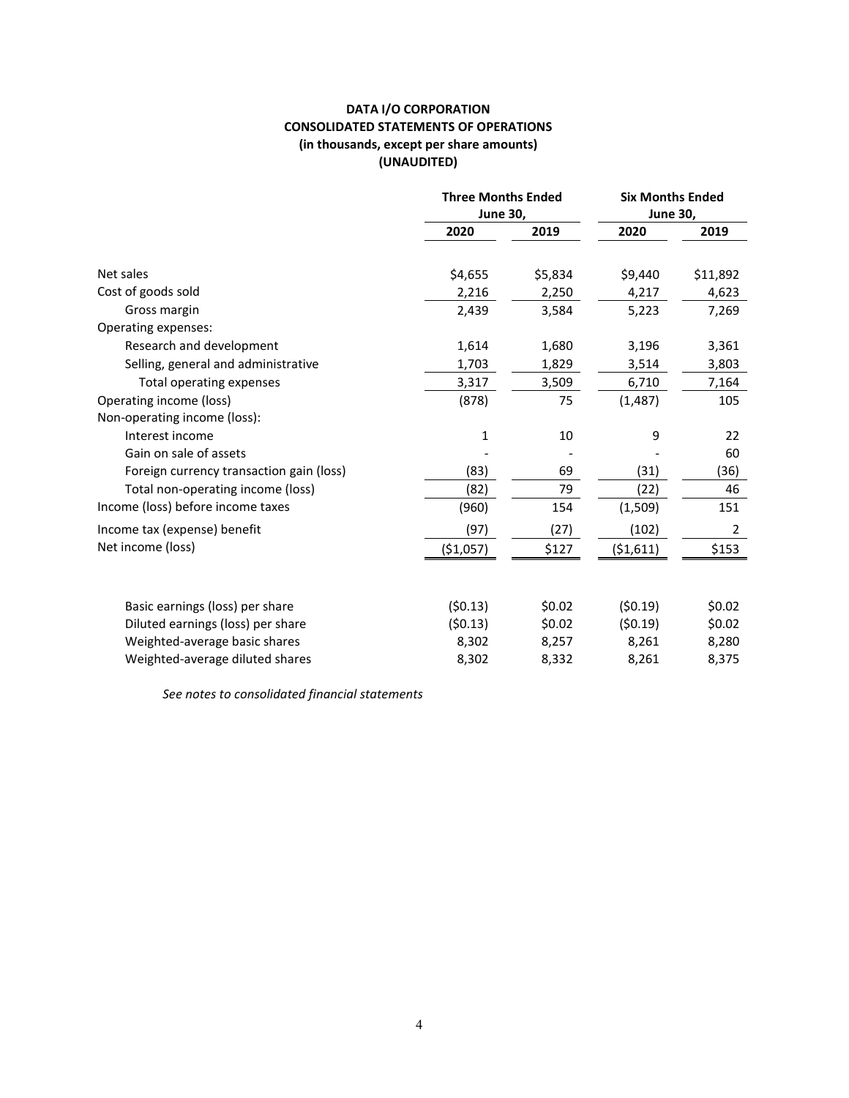## **DATA I/O CORPORATION CONSOLIDATED STATEMENTS OF OPERATIONS (in thousands, except per share amounts) (UNAUDITED)**

|                                          | <b>Three Months Ended</b><br><b>June 30,</b> |         | <b>Six Months Ended</b><br><b>June 30,</b> |                |
|------------------------------------------|----------------------------------------------|---------|--------------------------------------------|----------------|
|                                          | 2020                                         | 2019    | 2020                                       | 2019           |
| Net sales                                | \$4,655                                      | \$5,834 | \$9,440                                    | \$11,892       |
| Cost of goods sold                       | 2,216                                        | 2,250   | 4,217                                      | 4,623          |
| Gross margin                             | 2,439                                        | 3,584   | 5,223                                      | 7,269          |
| Operating expenses:                      |                                              |         |                                            |                |
| Research and development                 | 1,614                                        | 1,680   | 3,196                                      | 3,361          |
| Selling, general and administrative      | 1,703                                        | 1,829   | 3,514                                      | 3,803          |
| Total operating expenses                 | 3,317                                        | 3,509   | 6,710                                      | 7,164          |
| Operating income (loss)                  | (878)                                        | 75      | (1, 487)                                   | 105            |
| Non-operating income (loss):             |                                              |         |                                            |                |
| Interest income                          | 1                                            | 10      | 9                                          | 22             |
| Gain on sale of assets                   |                                              |         |                                            | 60             |
| Foreign currency transaction gain (loss) | (83)                                         | 69      | (31)                                       | (36)           |
| Total non-operating income (loss)        | (82)                                         | 79      | (22)                                       | 46             |
| Income (loss) before income taxes        | (960)                                        | 154     | (1,509)                                    | 151            |
| Income tax (expense) benefit             | (97)                                         | (27)    | (102)                                      | $\overline{2}$ |
| Net income (loss)                        | ( \$1,057)                                   | \$127   | ( \$1,611)                                 | \$153          |
|                                          |                                              |         |                                            |                |
| Basic earnings (loss) per share          | (50.13)                                      | \$0.02  | (50.19)                                    | \$0.02         |
| Diluted earnings (loss) per share        | (50.13)                                      | \$0.02  | (50.19)                                    | \$0.02         |
| Weighted-average basic shares            | 8,302                                        | 8,257   | 8,261                                      | 8,280          |
| Weighted-average diluted shares          | 8,302                                        | 8,332   | 8,261                                      | 8,375          |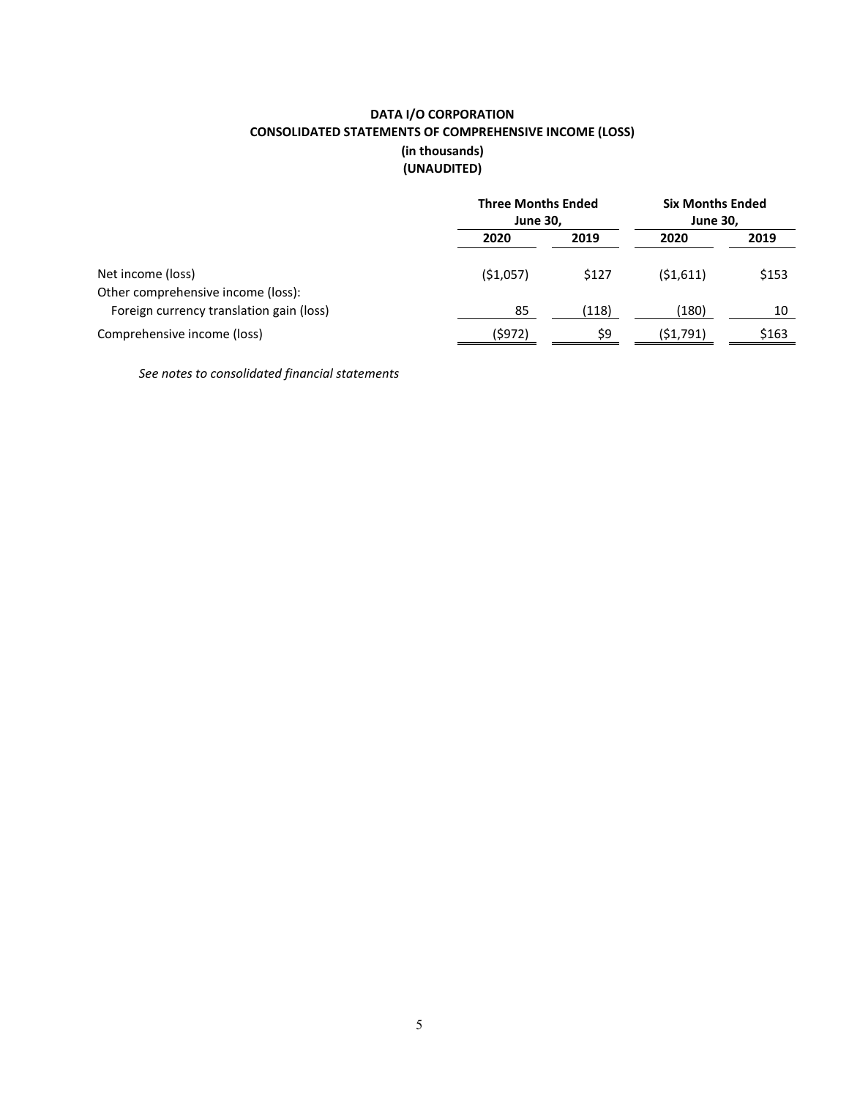## **DATA I/O CORPORATION CONSOLIDATED STATEMENTS OF COMPREHENSIVE INCOME (LOSS) (in thousands) (UNAUDITED)**

|                                                         | <b>Three Months Ended</b><br><b>June 30,</b> |       | <b>Six Months Ended</b><br><b>June 30,</b> |       |
|---------------------------------------------------------|----------------------------------------------|-------|--------------------------------------------|-------|
|                                                         | 2020                                         | 2019  | 2020                                       | 2019  |
| Net income (loss)<br>Other comprehensive income (loss): | (51,057)                                     | \$127 | (51,611)                                   | \$153 |
| Foreign currency translation gain (loss)                | 85                                           | (118) | (180)                                      | 10    |
| Comprehensive income (loss)                             | (\$972)                                      | \$9   | (\$1,791)                                  | \$163 |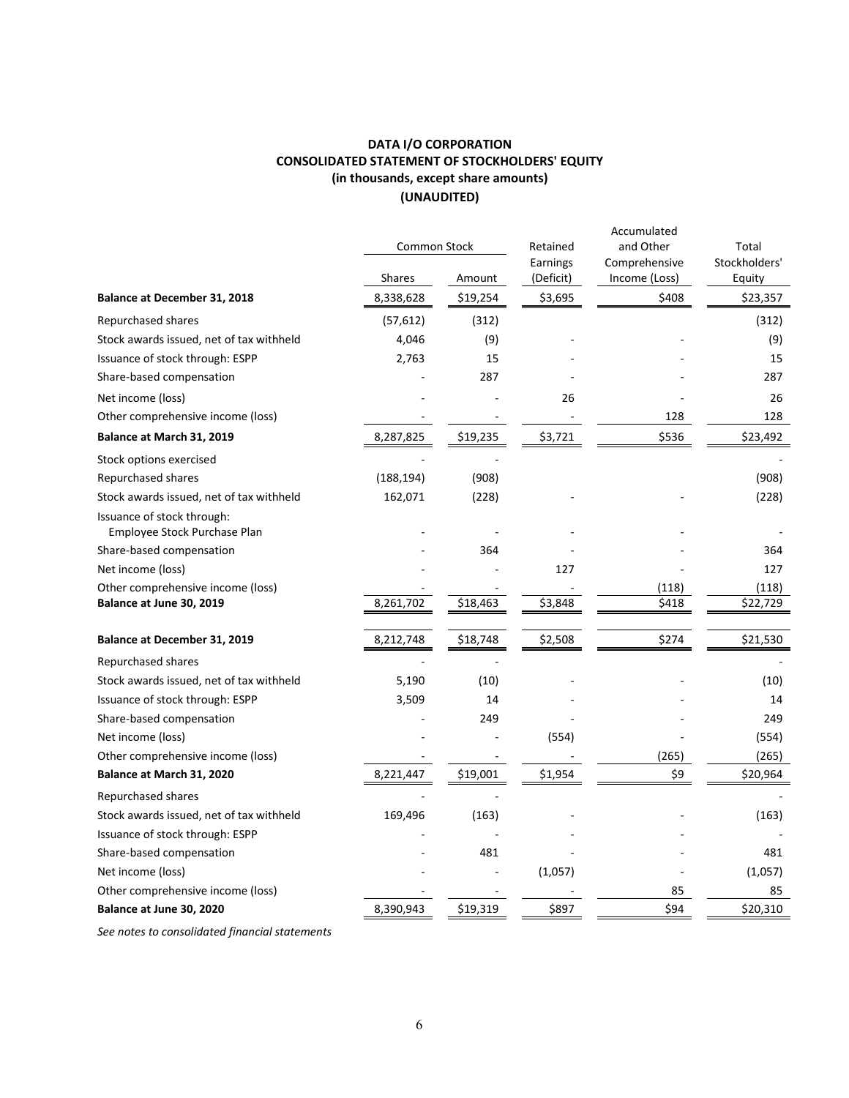## **DATA I/O CORPORATION CONSOLIDATED STATEMENT OF STOCKHOLDERS' EQUITY (in thousands, except share amounts) (UNAUDITED)**

|                                                            | <b>Common Stock</b> |          | Retained              | Accumulated<br>and Other       | Total<br>Stockholders' |  |
|------------------------------------------------------------|---------------------|----------|-----------------------|--------------------------------|------------------------|--|
|                                                            | <b>Shares</b>       | Amount   | Earnings<br>(Deficit) | Comprehensive<br>Income (Loss) | Equity                 |  |
| Balance at December 31, 2018                               | 8,338,628           | \$19,254 | \$3,695               | \$408                          | \$23,357               |  |
| Repurchased shares                                         | (57, 612)           | (312)    |                       |                                | (312)                  |  |
| Stock awards issued, net of tax withheld                   | 4,046               | (9)      |                       |                                | (9)                    |  |
| Issuance of stock through: ESPP                            | 2,763               | 15       |                       |                                | 15                     |  |
| Share-based compensation                                   |                     | 287      |                       |                                | 287                    |  |
| Net income (loss)                                          |                     |          | 26                    |                                | 26                     |  |
| Other comprehensive income (loss)                          |                     |          |                       | 128                            | 128                    |  |
| Balance at March 31, 2019                                  | 8,287,825           | \$19,235 | \$3,721               | \$536                          | \$23,492               |  |
| Stock options exercised                                    |                     |          |                       |                                |                        |  |
| Repurchased shares                                         | (188, 194)          | (908)    |                       |                                | (908)                  |  |
| Stock awards issued, net of tax withheld                   | 162,071             | (228)    |                       |                                | (228)                  |  |
| Issuance of stock through:<br>Employee Stock Purchase Plan |                     |          |                       |                                |                        |  |
| Share-based compensation                                   |                     | 364      |                       |                                | 364                    |  |
| Net income (loss)                                          |                     |          | 127                   |                                | 127                    |  |
| Other comprehensive income (loss)                          |                     |          |                       | (118)                          | (118)                  |  |
| Balance at June 30, 2019                                   | 8,261,702           | \$18,463 | \$3,848               | \$418                          | \$22,729               |  |
| Balance at December 31, 2019                               | 8,212,748           | \$18,748 | \$2,508               | \$274                          | \$21,530               |  |
| Repurchased shares                                         |                     |          |                       |                                |                        |  |
| Stock awards issued, net of tax withheld                   | 5,190               | (10)     |                       |                                | (10)                   |  |
| Issuance of stock through: ESPP                            | 3,509               | 14       |                       |                                | 14                     |  |
| Share-based compensation                                   |                     | 249      |                       |                                | 249                    |  |
| Net income (loss)                                          |                     |          | (554)                 |                                | (554)                  |  |
| Other comprehensive income (loss)                          |                     |          |                       | (265)                          | (265)                  |  |
| Balance at March 31, 2020                                  | 8,221,447           | \$19,001 | \$1,954               | \$9                            | \$20,964               |  |
| Repurchased shares                                         |                     |          |                       |                                |                        |  |
| Stock awards issued, net of tax withheld                   | 169,496             | (163)    |                       |                                | (163)                  |  |
| Issuance of stock through: ESPP                            |                     |          |                       |                                |                        |  |
| Share-based compensation                                   |                     | 481      |                       |                                | 481                    |  |
| Net income (loss)                                          |                     | ÷,       | (1,057)               |                                | (1,057)                |  |
| Other comprehensive income (loss)                          |                     |          |                       | 85                             | 85                     |  |
| Balance at June 30, 2020                                   | 8,390,943           | \$19,319 | \$897                 | \$94                           | \$20,310               |  |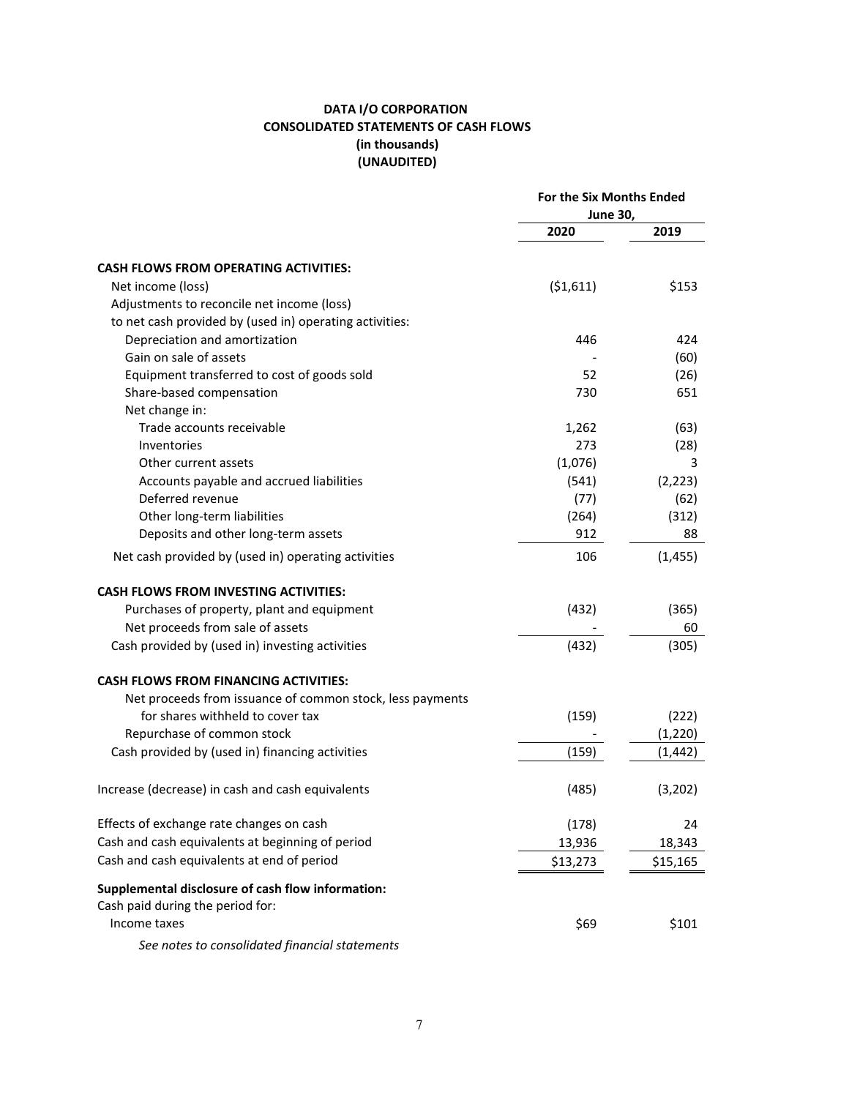## **DATA I/O CORPORATION CONSOLIDATED STATEMENTS OF CASH FLOWS (in thousands) (UNAUDITED)**

|                                                           | For the Six Months Ended<br><b>June 30,</b> |          |
|-----------------------------------------------------------|---------------------------------------------|----------|
|                                                           | 2020                                        | 2019     |
| <b>CASH FLOWS FROM OPERATING ACTIVITIES:</b>              |                                             |          |
| Net income (loss)                                         | ( \$1,611)                                  | \$153    |
| Adjustments to reconcile net income (loss)                |                                             |          |
| to net cash provided by (used in) operating activities:   |                                             |          |
| Depreciation and amortization                             | 446                                         | 424      |
| Gain on sale of assets                                    |                                             | (60)     |
| Equipment transferred to cost of goods sold               | 52                                          | (26)     |
| Share-based compensation                                  | 730                                         | 651      |
| Net change in:                                            |                                             |          |
| Trade accounts receivable                                 | 1,262                                       | (63)     |
| Inventories                                               | 273                                         | (28)     |
| Other current assets                                      | (1,076)                                     | 3        |
| Accounts payable and accrued liabilities                  | (541)                                       | (2, 223) |
| Deferred revenue                                          | (77)                                        | (62)     |
| Other long-term liabilities                               | (264)                                       | (312)    |
| Deposits and other long-term assets                       | 912                                         | 88       |
| Net cash provided by (used in) operating activities       | 106                                         | (1, 455) |
| <b>CASH FLOWS FROM INVESTING ACTIVITIES:</b>              |                                             |          |
| Purchases of property, plant and equipment                | (432)                                       | (365)    |
| Net proceeds from sale of assets                          |                                             | 60       |
| Cash provided by (used in) investing activities           | (432)                                       | (305)    |
| <b>CASH FLOWS FROM FINANCING ACTIVITIES:</b>              |                                             |          |
| Net proceeds from issuance of common stock, less payments |                                             |          |
| for shares withheld to cover tax                          | (159)                                       | (222)    |
| Repurchase of common stock                                |                                             | (1, 220) |
| Cash provided by (used in) financing activities           | (159)                                       | (1, 442) |
| Increase (decrease) in cash and cash equivalents          | (485)                                       | (3,202)  |
| Effects of exchange rate changes on cash                  | (178)                                       | 24       |
| Cash and cash equivalents at beginning of period          | 13,936                                      | 18,343   |
| Cash and cash equivalents at end of period                | \$13,273                                    | \$15,165 |
| Supplemental disclosure of cash flow information:         |                                             |          |
| Cash paid during the period for:                          |                                             |          |
| Income taxes                                              | \$69                                        | \$101    |
| See notes to consolidated financial statements            |                                             |          |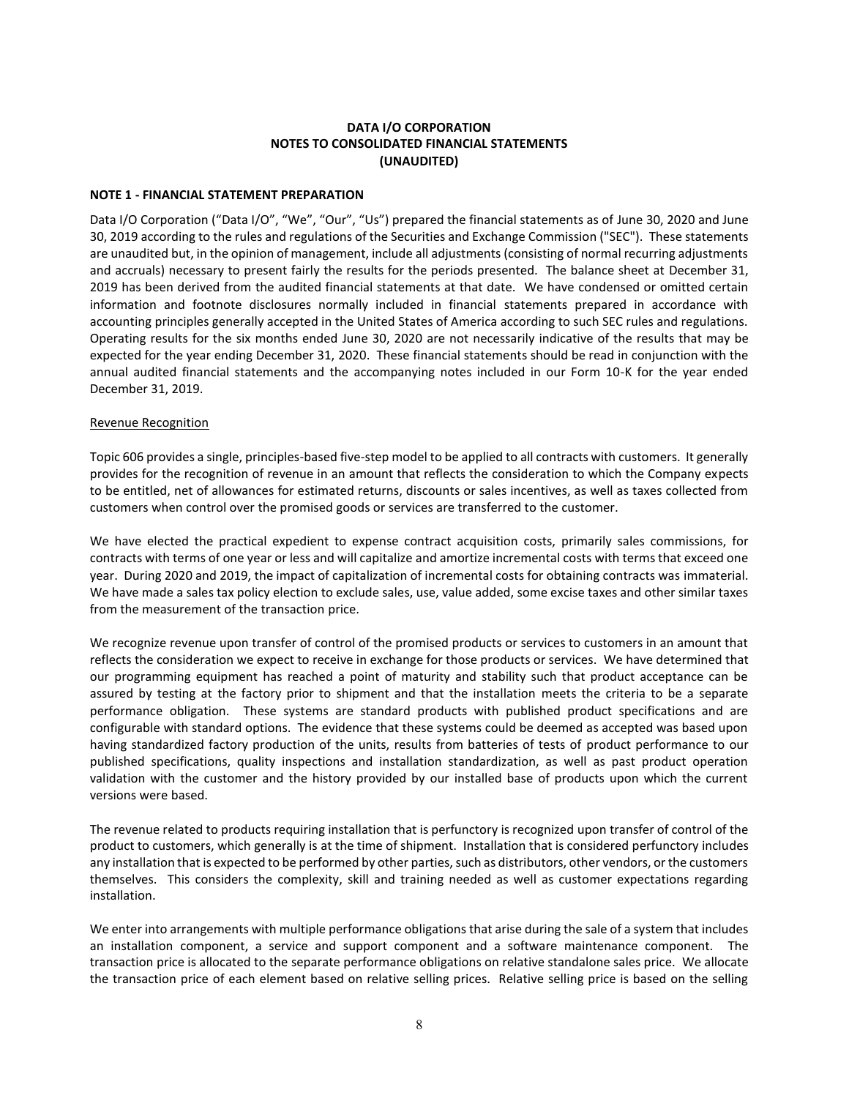## **DATA I/O CORPORATION NOTES TO CONSOLIDATED FINANCIAL STATEMENTS (UNAUDITED)**

#### **NOTE 1 - FINANCIAL STATEMENT PREPARATION**

Data I/O Corporation ("Data I/O", "We", "Our", "Us") prepared the financial statements as of June 30, 2020 and June 30, 2019 according to the rules and regulations of the Securities and Exchange Commission ("SEC"). These statements are unaudited but, in the opinion of management, include all adjustments (consisting of normal recurring adjustments and accruals) necessary to present fairly the results for the periods presented. The balance sheet at December 31, 2019 has been derived from the audited financial statements at that date. We have condensed or omitted certain information and footnote disclosures normally included in financial statements prepared in accordance with accounting principles generally accepted in the United States of America according to such SEC rules and regulations. Operating results for the six months ended June 30, 2020 are not necessarily indicative of the results that may be expected for the year ending December 31, 2020. These financial statements should be read in conjunction with the annual audited financial statements and the accompanying notes included in our Form 10-K for the year ended December 31, 2019.

#### Revenue Recognition

Topic 606 provides a single, principles-based five-step model to be applied to all contracts with customers. It generally provides for the recognition of revenue in an amount that reflects the consideration to which the Company expects to be entitled, net of allowances for estimated returns, discounts or sales incentives, as well as taxes collected from customers when control over the promised goods or services are transferred to the customer.

We have elected the practical expedient to expense contract acquisition costs, primarily sales commissions, for contracts with terms of one year or less and will capitalize and amortize incremental costs with terms that exceed one year. During 2020 and 2019, the impact of capitalization of incremental costs for obtaining contracts was immaterial. We have made a sales tax policy election to exclude sales, use, value added, some excise taxes and other similar taxes from the measurement of the transaction price.

We recognize revenue upon transfer of control of the promised products or services to customers in an amount that reflects the consideration we expect to receive in exchange for those products or services. We have determined that our programming equipment has reached a point of maturity and stability such that product acceptance can be assured by testing at the factory prior to shipment and that the installation meets the criteria to be a separate performance obligation. These systems are standard products with published product specifications and are configurable with standard options. The evidence that these systems could be deemed as accepted was based upon having standardized factory production of the units, results from batteries of tests of product performance to our published specifications, quality inspections and installation standardization, as well as past product operation validation with the customer and the history provided by our installed base of products upon which the current versions were based.

The revenue related to products requiring installation that is perfunctory is recognized upon transfer of control of the product to customers, which generally is at the time of shipment. Installation that is considered perfunctory includes any installation that is expected to be performed by other parties, such as distributors, other vendors, or the customers themselves. This considers the complexity, skill and training needed as well as customer expectations regarding installation.

We enter into arrangements with multiple performance obligations that arise during the sale of a system that includes an installation component, a service and support component and a software maintenance component. The transaction price is allocated to the separate performance obligations on relative standalone sales price. We allocate the transaction price of each element based on relative selling prices. Relative selling price is based on the selling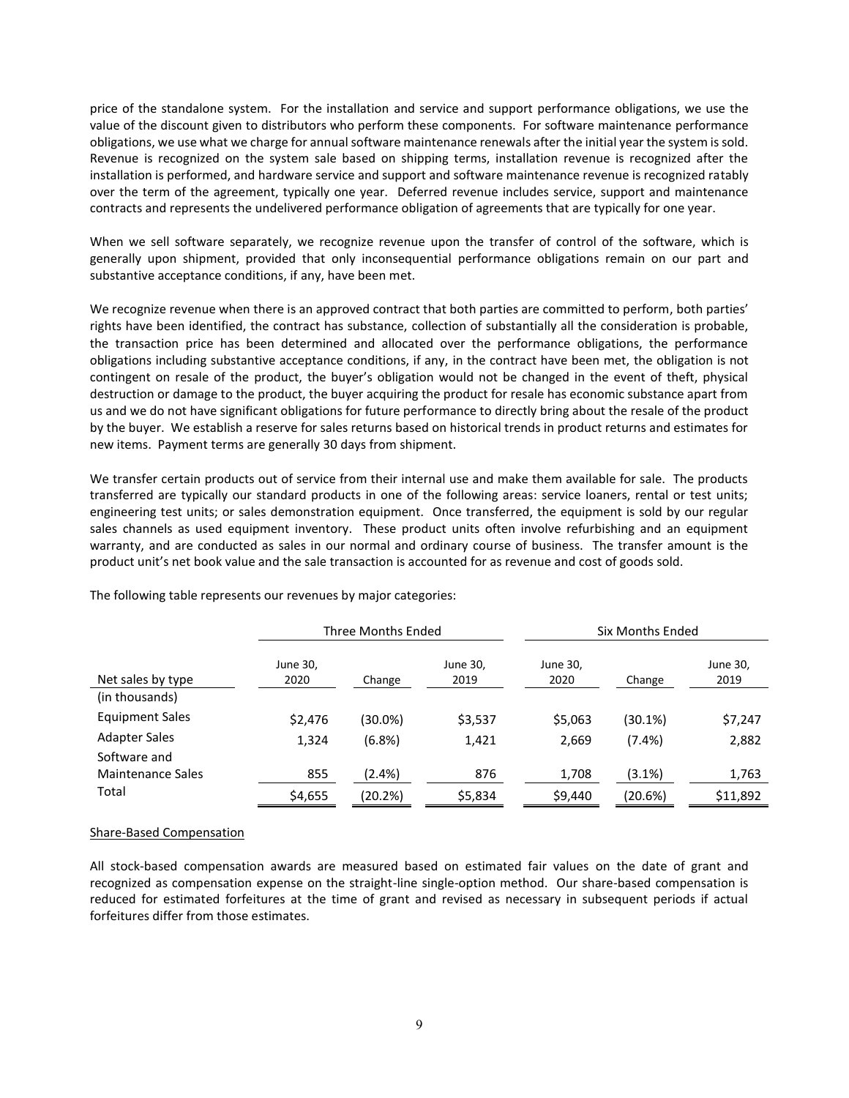price of the standalone system. For the installation and service and support performance obligations, we use the value of the discount given to distributors who perform these components. For software maintenance performance obligations, we use what we charge for annual software maintenance renewals after the initial year the system is sold. Revenue is recognized on the system sale based on shipping terms, installation revenue is recognized after the installation is performed, and hardware service and support and software maintenance revenue is recognized ratably over the term of the agreement, typically one year. Deferred revenue includes service, support and maintenance contracts and represents the undelivered performance obligation of agreements that are typically for one year.

When we sell software separately, we recognize revenue upon the transfer of control of the software, which is generally upon shipment, provided that only inconsequential performance obligations remain on our part and substantive acceptance conditions, if any, have been met.

We recognize revenue when there is an approved contract that both parties are committed to perform, both parties' rights have been identified, the contract has substance, collection of substantially all the consideration is probable, the transaction price has been determined and allocated over the performance obligations, the performance obligations including substantive acceptance conditions, if any, in the contract have been met, the obligation is not contingent on resale of the product, the buyer's obligation would not be changed in the event of theft, physical destruction or damage to the product, the buyer acquiring the product for resale has economic substance apart from us and we do not have significant obligations for future performance to directly bring about the resale of the product by the buyer. We establish a reserve for sales returns based on historical trends in product returns and estimates for new items. Payment terms are generally 30 days from shipment.

We transfer certain products out of service from their internal use and make them available for sale. The products transferred are typically our standard products in one of the following areas: service loaners, rental or test units; engineering test units; or sales demonstration equipment. Once transferred, the equipment is sold by our regular sales channels as used equipment inventory. These product units often involve refurbishing and an equipment warranty, and are conducted as sales in our normal and ordinary course of business. The transfer amount is the product unit's net book value and the sale transaction is accounted for as revenue and cost of goods sold.

|                        | Three Months Ended |            | Six Months Ended |                  |           |                  |
|------------------------|--------------------|------------|------------------|------------------|-----------|------------------|
| Net sales by type      | June 30,<br>2020   | Change     | June 30,<br>2019 | June 30,<br>2020 | Change    | June 30,<br>2019 |
| (in thousands)         |                    |            |                  |                  |           |                  |
| <b>Equipment Sales</b> | \$2.476            | $(30.0\%)$ | \$3,537          | \$5,063          | (30.1%)   | \$7,247          |
| <b>Adapter Sales</b>   | 1,324              | (6.8% )    | 1,421            | 2,669            | $(7.4\%)$ | 2,882            |
| Software and           |                    |            |                  |                  |           |                  |
| Maintenance Sales      | 855                | $(2.4\%)$  | 876              | 1,708            | $(3.1\%)$ | 1,763            |
| Total                  | \$4,655            | (20.2%)    | \$5,834          | \$9,440          | (20.6%)   | \$11,892         |

The following table represents our revenues by major categories:

#### Share-Based Compensation

All stock-based compensation awards are measured based on estimated fair values on the date of grant and recognized as compensation expense on the straight-line single-option method. Our share-based compensation is reduced for estimated forfeitures at the time of grant and revised as necessary in subsequent periods if actual forfeitures differ from those estimates.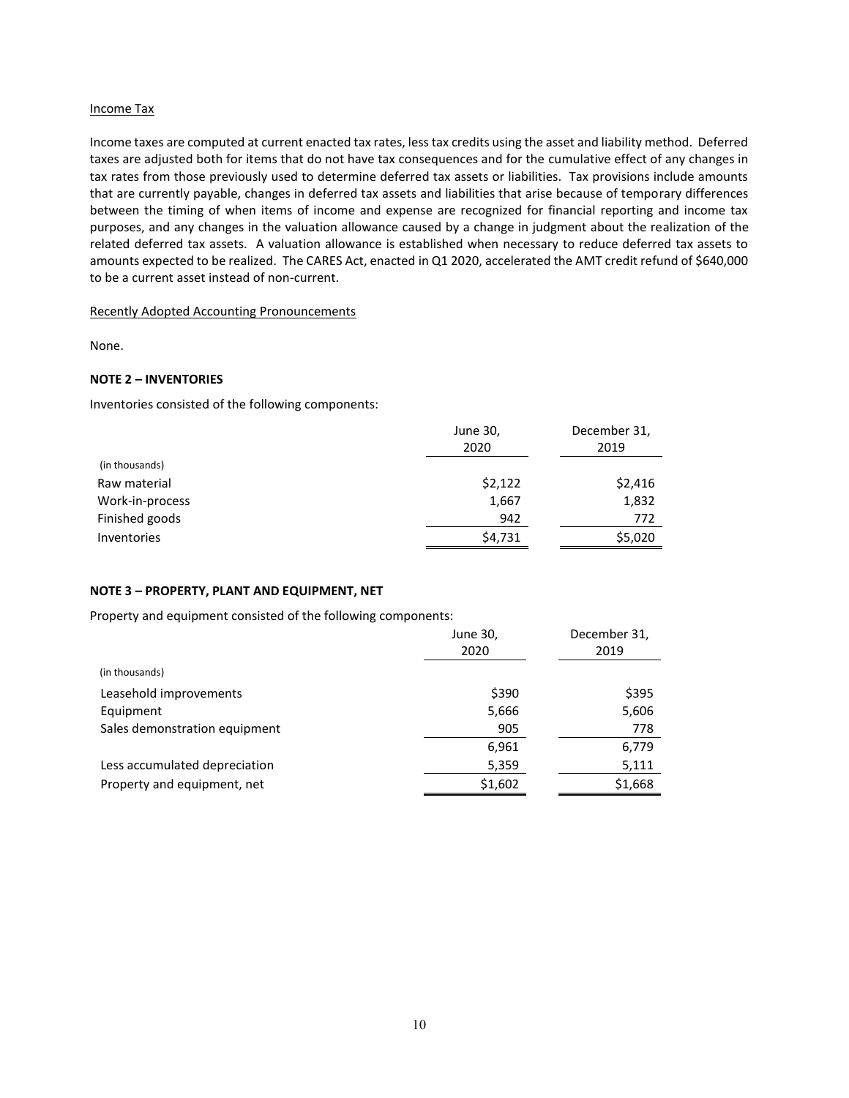#### Income Tax

Income taxes are computed at current enacted tax rates, less tax credits using the asset and liability method. Deferred taxes are adjusted both for items that do not have tax consequences and for the cumulative effect of any changes in tax rates from those previously used to determine deferred tax assets or liabilities. Tax provisions include amounts that are currently payable, changes in deferred tax assets and liabilities that arise because of temporary differences between the timing of when items of income and expense are recognized for financial reporting and income tax purposes, and any changes in the valuation allowance caused by a change in judgment about the realization of the related deferred tax assets. A valuation allowance is established when necessary to reduce deferred tax assets to amounts expected to be realized. The CARES Act, enacted in Q1 2020, accelerated the AMT credit refund of \$640,000 to be a current asset instead of non-current.

#### Recently Adopted Accounting Pronouncements

None.

#### **NOTE 2 – INVENTORIES**

Inventories consisted of the following components:

|                 | June 30,<br>2020 | December 31,<br>2019 |
|-----------------|------------------|----------------------|
| (in thousands)  |                  |                      |
| Raw material    | \$2,122          | \$2,416              |
| Work-in-process | 1,667            | 1,832                |
| Finished goods  | 942              | 772                  |
| Inventories     | \$4,731          | \$5,020              |

#### **NOTE 3 – PROPERTY, PLANT AND EQUIPMENT, NET**

Property and equipment consisted of the following components:

|                               | June 30, | December 31, |
|-------------------------------|----------|--------------|
|                               | 2020     | 2019         |
| (in thousands)                |          |              |
| Leasehold improvements        | \$390    | \$395        |
| Equipment                     | 5,666    | 5,606        |
| Sales demonstration equipment | 905      | 778          |
|                               | 6,961    | 6,779        |
| Less accumulated depreciation | 5,359    | 5,111        |
| Property and equipment, net   | \$1,602  | \$1,668      |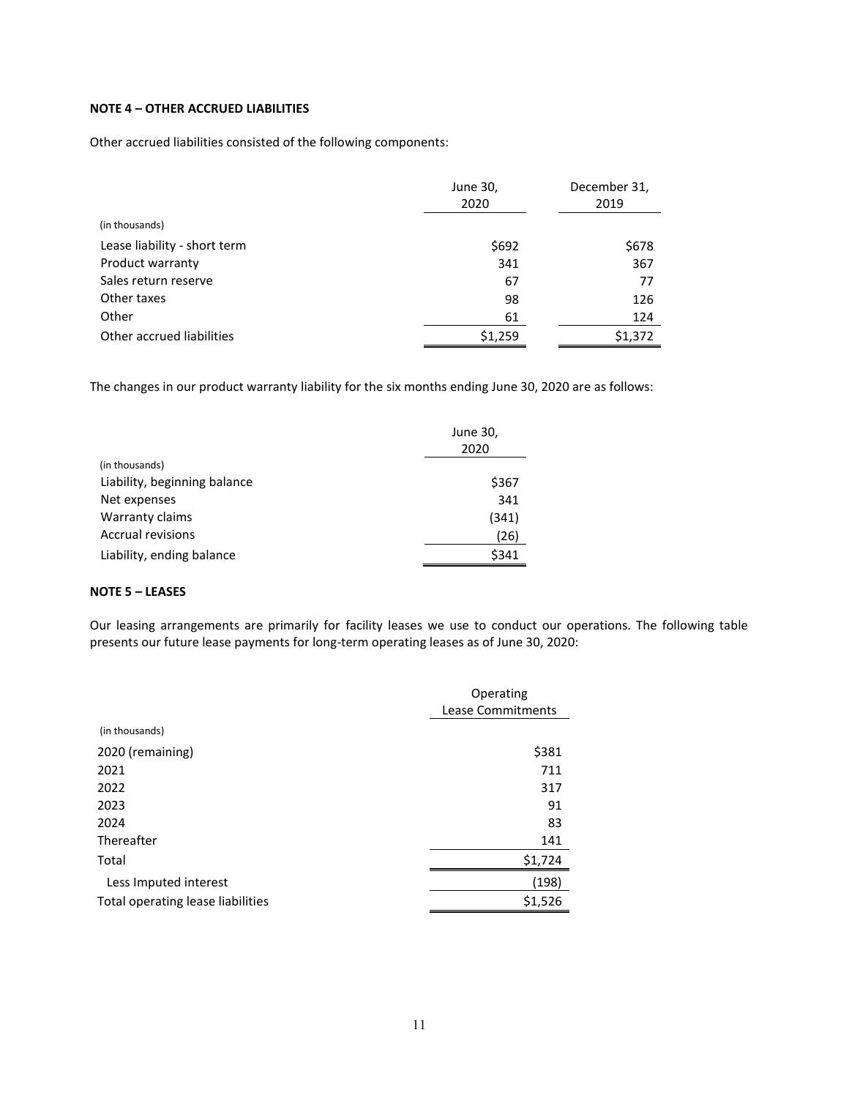## **NOTE 4 – OTHER ACCRUED LIABILITIES**

Other accrued liabilities consisted of the following components:

|                              | June 30,<br>2020 | December 31,<br>2019 |
|------------------------------|------------------|----------------------|
| (in thousands)               |                  |                      |
| Lease liability - short term | \$692            | \$678                |
| Product warranty             | 341              | 367                  |
| Sales return reserve         | 67               | 77                   |
| Other taxes                  | 98               | 126                  |
| Other                        | 61               | 124                  |
| Other accrued liabilities    | \$1,259          | \$1,372              |

The changes in our product warranty liability for the six months ending June 30, 2020 are as follows:

|                              | June 30,<br>2020 |
|------------------------------|------------------|
| (in thousands)               |                  |
| Liability, beginning balance | \$367            |
| Net expenses                 | 341              |
| Warranty claims              | (341)            |
| Accrual revisions            | (26)             |
| Liability, ending balance    | \$341            |

## **NOTE 5 – LEASES**

Our leasing arrangements are primarily for facility leases we use to conduct our operations. The following table presents our future lease payments for long-term operating leases as of June 30, 2020:

|                                   | Operating         |
|-----------------------------------|-------------------|
|                                   | Lease Commitments |
| (in thousands)                    |                   |
| 2020 (remaining)                  | \$381             |
| 2021                              | 711               |
| 2022                              | 317               |
| 2023                              | 91                |
| 2024                              | 83                |
| Thereafter                        | 141               |
| Total                             | \$1,724           |
| Less Imputed interest             | (198)             |
| Total operating lease liabilities | \$1,526           |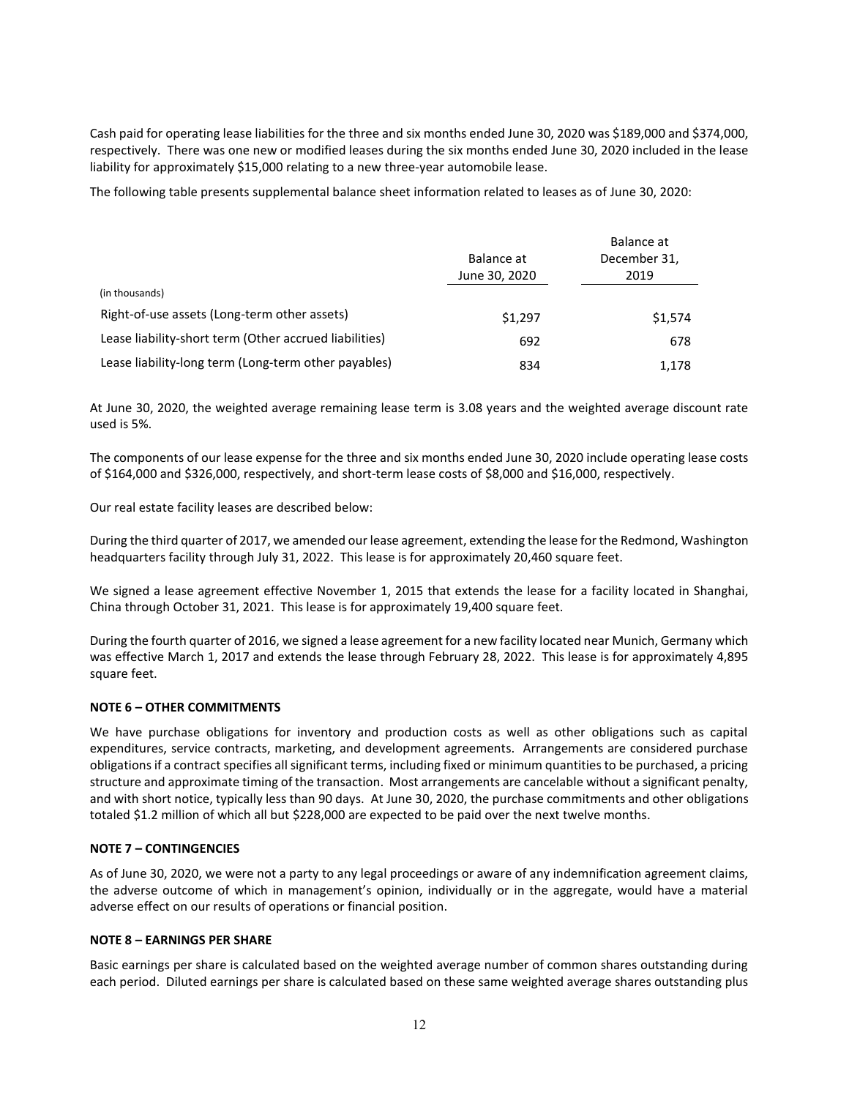Cash paid for operating lease liabilities for the three and six months ended June 30, 2020 was \$189,000 and \$374,000, respectively. There was one new or modified leases during the six months ended June 30, 2020 included in the lease liability for approximately \$15,000 relating to a new three-year automobile lease.

The following table presents supplemental balance sheet information related to leases as of June 30, 2020:

|                                                        | Balance at<br>June 30, 2020 | Balance at<br>December 31,<br>2019 |
|--------------------------------------------------------|-----------------------------|------------------------------------|
| (in thousands)                                         |                             |                                    |
| Right-of-use assets (Long-term other assets)           | \$1,297                     | \$1,574                            |
| Lease liability-short term (Other accrued liabilities) | 692                         | 678                                |
| Lease liability-long term (Long-term other payables)   | 834                         | 1.178                              |

At June 30, 2020, the weighted average remaining lease term is 3.08 years and the weighted average discount rate used is 5%.

The components of our lease expense for the three and six months ended June 30, 2020 include operating lease costs of \$164,000 and \$326,000, respectively, and short-term lease costs of \$8,000 and \$16,000, respectively.

Our real estate facility leases are described below:

During the third quarter of 2017, we amended our lease agreement, extending the lease for the Redmond, Washington headquarters facility through July 31, 2022. This lease is for approximately 20,460 square feet.

We signed a lease agreement effective November 1, 2015 that extends the lease for a facility located in Shanghai, China through October 31, 2021. This lease is for approximately 19,400 square feet.

During the fourth quarter of 2016, we signed a lease agreement for a new facility located near Munich, Germany which was effective March 1, 2017 and extends the lease through February 28, 2022. This lease is for approximately 4,895 square feet.

## **NOTE 6 – OTHER COMMITMENTS**

We have purchase obligations for inventory and production costs as well as other obligations such as capital expenditures, service contracts, marketing, and development agreements. Arrangements are considered purchase obligations if a contract specifies all significant terms, including fixed or minimum quantities to be purchased, a pricing structure and approximate timing of the transaction. Most arrangements are cancelable without a significant penalty, and with short notice, typically less than 90 days. At June 30, 2020, the purchase commitments and other obligations totaled \$1.2 million of which all but \$228,000 are expected to be paid over the next twelve months.

## **NOTE 7 – CONTINGENCIES**

As of June 30, 2020, we were not a party to any legal proceedings or aware of any indemnification agreement claims, the adverse outcome of which in management's opinion, individually or in the aggregate, would have a material adverse effect on our results of operations or financial position.

#### **NOTE 8 – EARNINGS PER SHARE**

Basic earnings per share is calculated based on the weighted average number of common shares outstanding during each period. Diluted earnings per share is calculated based on these same weighted average shares outstanding plus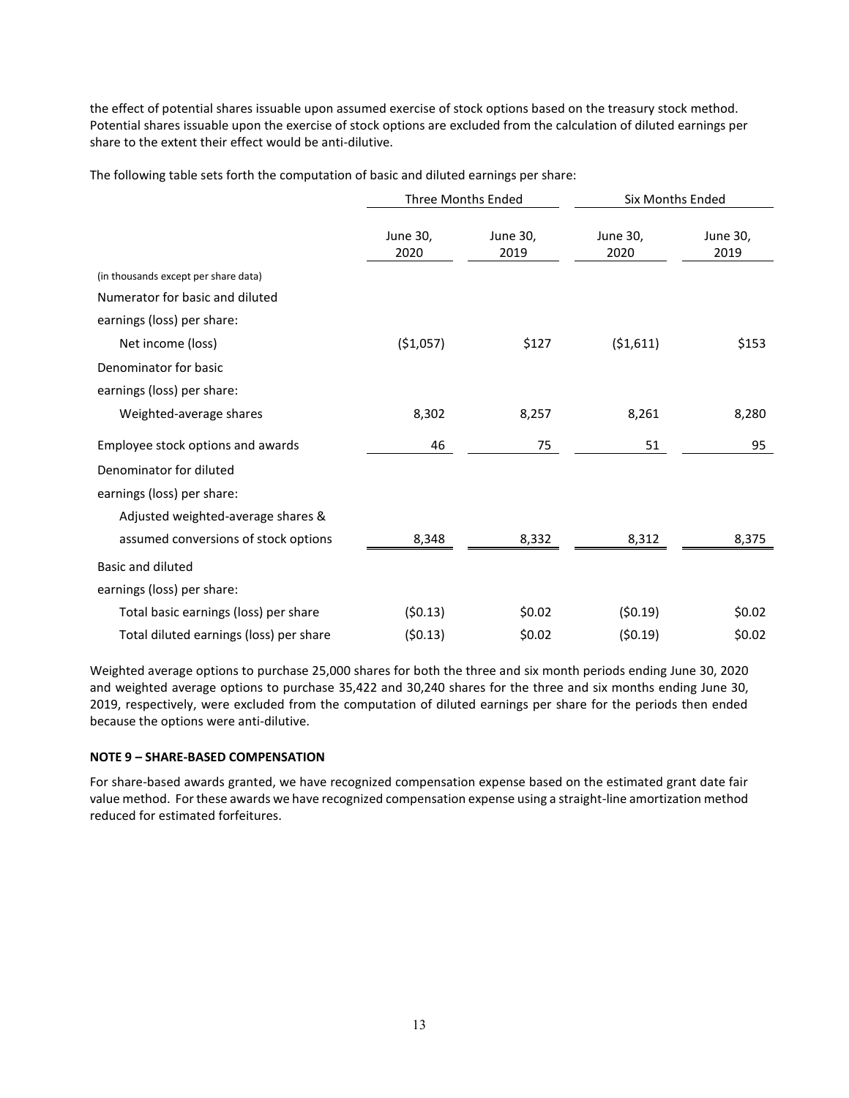the effect of potential shares issuable upon assumed exercise of stock options based on the treasury stock method. Potential shares issuable upon the exercise of stock options are excluded from the calculation of diluted earnings per share to the extent their effect would be anti-dilutive.

The following table sets forth the computation of basic and diluted earnings per share:

|                                         | <b>Three Months Ended</b> |                  | <b>Six Months Ended</b> |                  |
|-----------------------------------------|---------------------------|------------------|-------------------------|------------------|
|                                         | June 30,<br>2020          | June 30,<br>2019 | June 30,<br>2020        | June 30,<br>2019 |
| (in thousands except per share data)    |                           |                  |                         |                  |
| Numerator for basic and diluted         |                           |                  |                         |                  |
| earnings (loss) per share:              |                           |                  |                         |                  |
| Net income (loss)                       | ( \$1,057)                | \$127            | ( \$1,611)              | \$153            |
| Denominator for basic                   |                           |                  |                         |                  |
| earnings (loss) per share:              |                           |                  |                         |                  |
| Weighted-average shares                 | 8,302                     | 8,257            | 8,261                   | 8,280            |
| Employee stock options and awards       | 46                        | 75               | 51                      | 95               |
| Denominator for diluted                 |                           |                  |                         |                  |
| earnings (loss) per share:              |                           |                  |                         |                  |
| Adjusted weighted-average shares &      |                           |                  |                         |                  |
| assumed conversions of stock options    | 8,348                     | 8,332            | 8,312                   | 8,375            |
| <b>Basic and diluted</b>                |                           |                  |                         |                  |
| earnings (loss) per share:              |                           |                  |                         |                  |
| Total basic earnings (loss) per share   | (50.13)                   | \$0.02           | (50.19)                 | \$0.02           |
| Total diluted earnings (loss) per share | (50.13)                   | \$0.02           | (50.19)                 | \$0.02           |

Weighted average options to purchase 25,000 shares for both the three and six month periods ending June 30, 2020 and weighted average options to purchase 35,422 and 30,240 shares for the three and six months ending June 30, 2019, respectively, were excluded from the computation of diluted earnings per share for the periods then ended because the options were anti-dilutive.

#### **NOTE 9 – SHARE-BASED COMPENSATION**

For share-based awards granted, we have recognized compensation expense based on the estimated grant date fair value method. For these awards we have recognized compensation expense using a straight-line amortization method reduced for estimated forfeitures.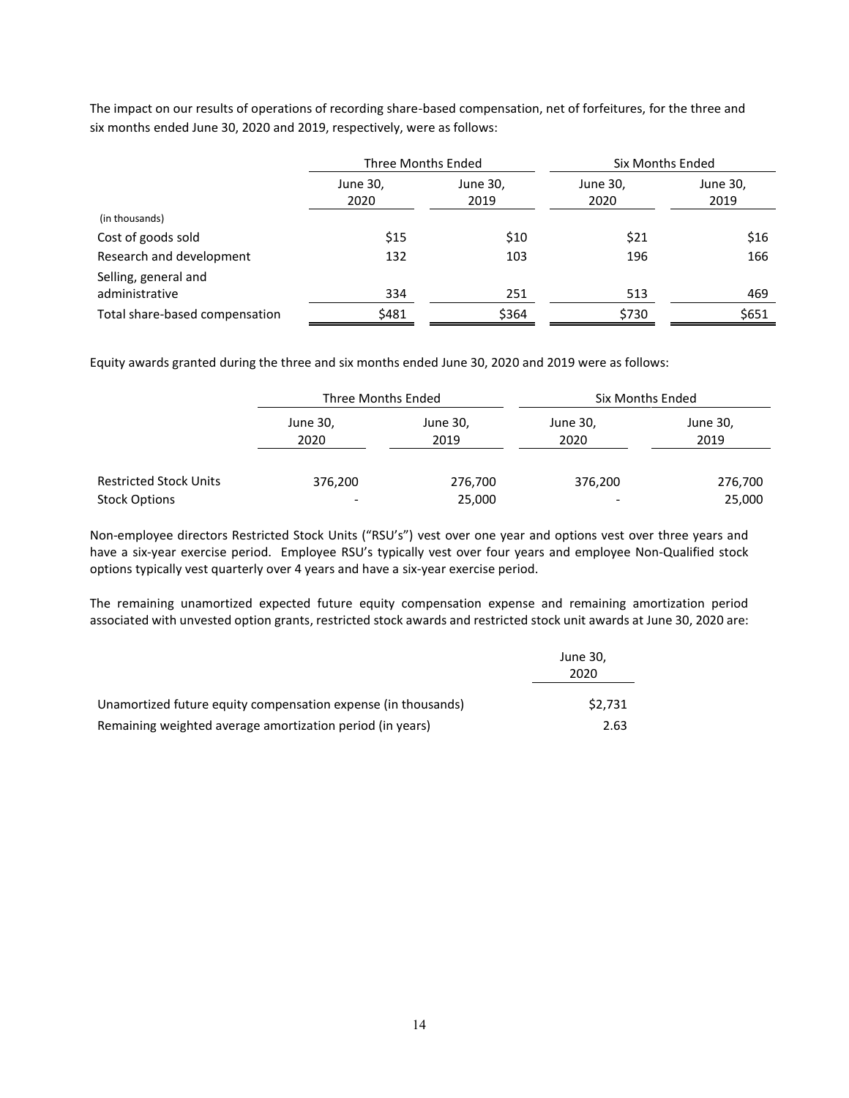The impact on our results of operations of recording share-based compensation, net of forfeitures, for the three and six months ended June 30, 2020 and 2019, respectively, were as follows:

|                                | Three Months Ended |                  | Six Months Ended |                  |
|--------------------------------|--------------------|------------------|------------------|------------------|
|                                | June 30,<br>2020   | June 30,<br>2019 | June 30,<br>2020 | June 30,<br>2019 |
| (in thousands)                 |                    |                  |                  |                  |
| Cost of goods sold             | \$15               | \$10             | \$21             | \$16             |
| Research and development       | 132                | 103              | 196              | 166              |
| Selling, general and           |                    |                  |                  |                  |
| administrative                 | 334                | 251              | 513              | 469              |
| Total share-based compensation | \$481              | \$364            | \$730            | \$651            |

Equity awards granted during the three and six months ended June 30, 2020 and 2019 were as follows:

|                               | Three Months Ended |                  | Six Months Ended |                  |
|-------------------------------|--------------------|------------------|------------------|------------------|
|                               | June 30,<br>2020   | June 30,<br>2019 | June 30,<br>2020 | June 30,<br>2019 |
| <b>Restricted Stock Units</b> | 376,200            | 276,700          | 376,200          | 276,700          |
| <b>Stock Options</b>          | -                  | 25,000           |                  | 25,000           |

Non-employee directors Restricted Stock Units ("RSU's") vest over one year and options vest over three years and have a six-year exercise period. Employee RSU's typically vest over four years and employee Non-Qualified stock options typically vest quarterly over 4 years and have a six-year exercise period.

The remaining unamortized expected future equity compensation expense and remaining amortization period associated with unvested option grants, restricted stock awards and restricted stock unit awards at June 30, 2020 are:

|                                                               | June 30,<br>2020 |
|---------------------------------------------------------------|------------------|
| Unamortized future equity compensation expense (in thousands) | \$2.731          |
| Remaining weighted average amortization period (in years)     | 2.63             |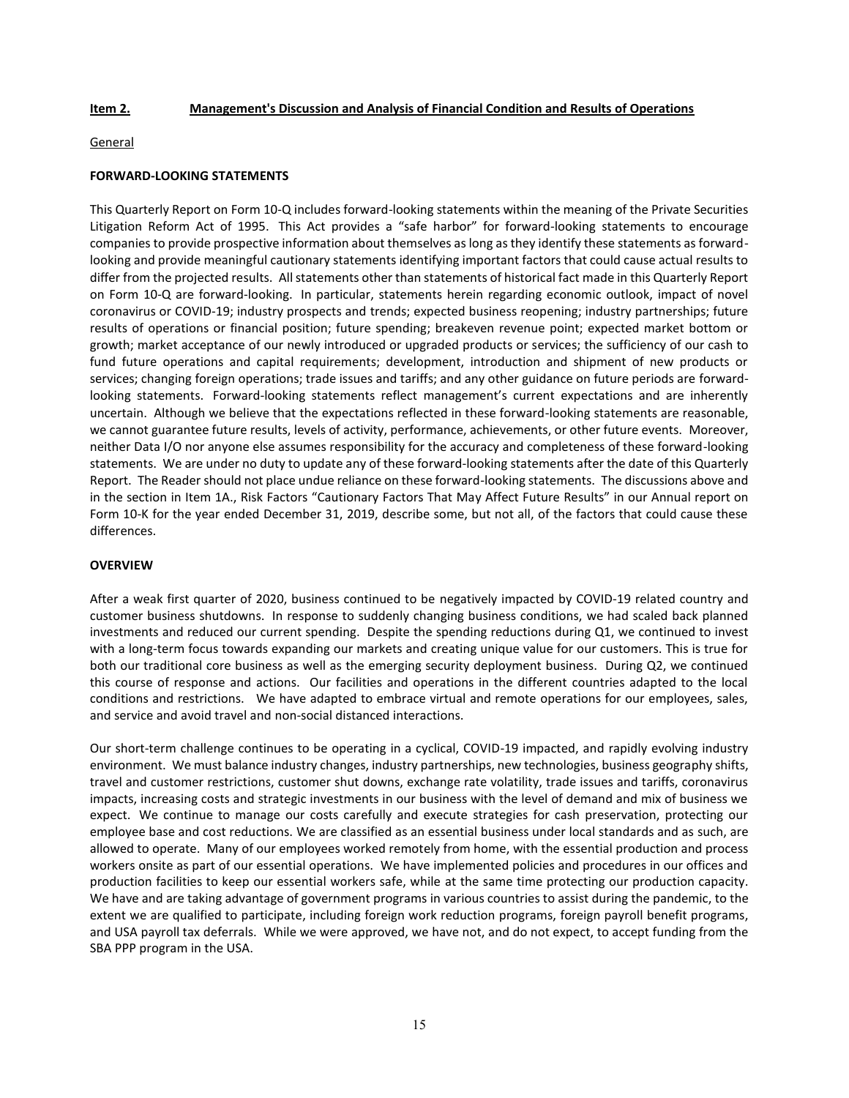#### **Item 2. Management's Discussion and Analysis of Financial Condition and Results of Operations**

#### General

#### **FORWARD-LOOKING STATEMENTS**

This Quarterly Report on Form 10-Q includes forward-looking statements within the meaning of the Private Securities Litigation Reform Act of 1995. This Act provides a "safe harbor" for forward-looking statements to encourage companies to provide prospective information about themselves as long as they identify these statements as forwardlooking and provide meaningful cautionary statements identifying important factors that could cause actual results to differ from the projected results. All statements other than statements of historical fact made in this Quarterly Report on Form 10-Q are forward-looking. In particular, statements herein regarding economic outlook, impact of novel coronavirus or COVID-19; industry prospects and trends; expected business reopening; industry partnerships; future results of operations or financial position; future spending; breakeven revenue point; expected market bottom or growth; market acceptance of our newly introduced or upgraded products or services; the sufficiency of our cash to fund future operations and capital requirements; development, introduction and shipment of new products or services; changing foreign operations; trade issues and tariffs; and any other guidance on future periods are forwardlooking statements. Forward-looking statements reflect management's current expectations and are inherently uncertain. Although we believe that the expectations reflected in these forward-looking statements are reasonable, we cannot guarantee future results, levels of activity, performance, achievements, or other future events. Moreover, neither Data I/O nor anyone else assumes responsibility for the accuracy and completeness of these forward-looking statements. We are under no duty to update any of these forward-looking statements after the date of this Quarterly Report. The Reader should not place undue reliance on these forward-looking statements. The discussions above and in the section in Item 1A., Risk Factors "Cautionary Factors That May Affect Future Results" in our Annual report on Form 10-K for the year ended December 31, 2019, describe some, but not all, of the factors that could cause these differences.

#### **OVERVIEW**

After a weak first quarter of 2020, business continued to be negatively impacted by COVID-19 related country and customer business shutdowns. In response to suddenly changing business conditions, we had scaled back planned investments and reduced our current spending. Despite the spending reductions during Q1, we continued to invest with a long-term focus towards expanding our markets and creating unique value for our customers. This is true for both our traditional core business as well as the emerging security deployment business. During Q2, we continued this course of response and actions. Our facilities and operations in the different countries adapted to the local conditions and restrictions. We have adapted to embrace virtual and remote operations for our employees, sales, and service and avoid travel and non-social distanced interactions.

Our short-term challenge continues to be operating in a cyclical, COVID-19 impacted, and rapidly evolving industry environment. We must balance industry changes, industry partnerships, new technologies, business geography shifts, travel and customer restrictions, customer shut downs, exchange rate volatility, trade issues and tariffs, coronavirus impacts, increasing costs and strategic investments in our business with the level of demand and mix of business we expect. We continue to manage our costs carefully and execute strategies for cash preservation, protecting our employee base and cost reductions. We are classified as an essential business under local standards and as such, are allowed to operate. Many of our employees worked remotely from home, with the essential production and process workers onsite as part of our essential operations. We have implemented policies and procedures in our offices and production facilities to keep our essential workers safe, while at the same time protecting our production capacity. We have and are taking advantage of government programs in various countries to assist during the pandemic, to the extent we are qualified to participate, including foreign work reduction programs, foreign payroll benefit programs, and USA payroll tax deferrals. While we were approved, we have not, and do not expect, to accept funding from the SBA PPP program in the USA.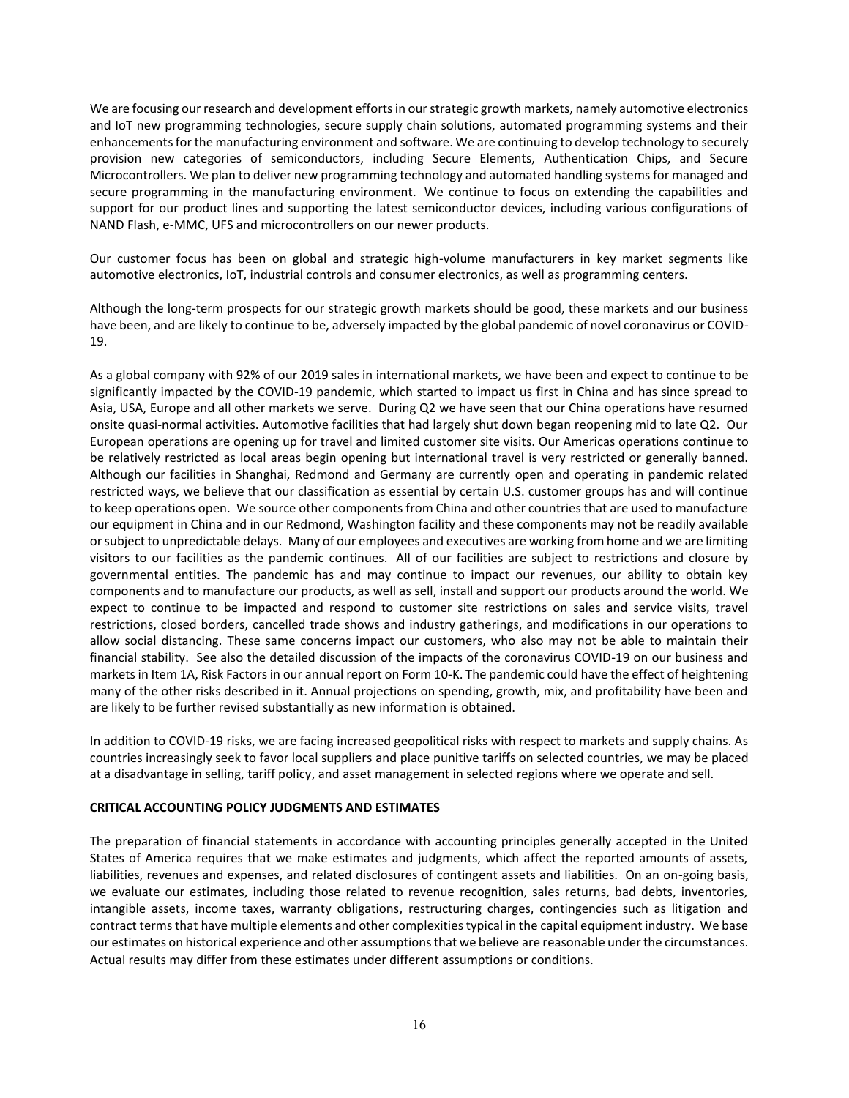We are focusing our research and development efforts in our strategic growth markets, namely automotive electronics and IoT new programming technologies, secure supply chain solutions, automated programming systems and their enhancements for the manufacturing environment and software. We are continuing to develop technology to securely provision new categories of semiconductors, including Secure Elements, Authentication Chips, and Secure Microcontrollers. We plan to deliver new programming technology and automated handling systems for managed and secure programming in the manufacturing environment. We continue to focus on extending the capabilities and support for our product lines and supporting the latest semiconductor devices, including various configurations of NAND Flash, e-MMC, UFS and microcontrollers on our newer products.

Our customer focus has been on global and strategic high-volume manufacturers in key market segments like automotive electronics, IoT, industrial controls and consumer electronics, as well as programming centers.

Although the long-term prospects for our strategic growth markets should be good, these markets and our business have been, and are likely to continue to be, adversely impacted by the global pandemic of novel coronavirus or COVID-19.

As a global company with 92% of our 2019 sales in international markets, we have been and expect to continue to be significantly impacted by the COVID-19 pandemic, which started to impact us first in China and has since spread to Asia, USA, Europe and all other markets we serve. During Q2 we have seen that our China operations have resumed onsite quasi-normal activities. Automotive facilities that had largely shut down began reopening mid to late Q2. Our European operations are opening up for travel and limited customer site visits. Our Americas operations continue to be relatively restricted as local areas begin opening but international travel is very restricted or generally banned. Although our facilities in Shanghai, Redmond and Germany are currently open and operating in pandemic related restricted ways, we believe that our classification as essential by certain U.S. customer groups has and will continue to keep operations open. We source other components from China and other countries that are used to manufacture our equipment in China and in our Redmond, Washington facility and these components may not be readily available or subject to unpredictable delays. Many of our employees and executives are working from home and we are limiting visitors to our facilities as the pandemic continues. All of our facilities are subject to restrictions and closure by governmental entities. The pandemic has and may continue to impact our revenues, our ability to obtain key components and to manufacture our products, as well as sell, install and support our products around the world. We expect to continue to be impacted and respond to customer site restrictions on sales and service visits, travel restrictions, closed borders, cancelled trade shows and industry gatherings, and modifications in our operations to allow social distancing. These same concerns impact our customers, who also may not be able to maintain their financial stability. See also the detailed discussion of the impacts of the coronavirus COVID-19 on our business and markets in Item 1A, Risk Factors in our annual report on Form 10-K. The pandemic could have the effect of heightening many of the other risks described in it. Annual projections on spending, growth, mix, and profitability have been and are likely to be further revised substantially as new information is obtained.

In addition to COVID-19 risks, we are facing increased geopolitical risks with respect to markets and supply chains. As countries increasingly seek to favor local suppliers and place punitive tariffs on selected countries, we may be placed at a disadvantage in selling, tariff policy, and asset management in selected regions where we operate and sell.

#### **CRITICAL ACCOUNTING POLICY JUDGMENTS AND ESTIMATES**

The preparation of financial statements in accordance with accounting principles generally accepted in the United States of America requires that we make estimates and judgments, which affect the reported amounts of assets, liabilities, revenues and expenses, and related disclosures of contingent assets and liabilities. On an on-going basis, we evaluate our estimates, including those related to revenue recognition, sales returns, bad debts, inventories, intangible assets, income taxes, warranty obligations, restructuring charges, contingencies such as litigation and contract terms that have multiple elements and other complexities typical in the capital equipment industry. We base our estimates on historical experience and other assumptions that we believe are reasonable under the circumstances. Actual results may differ from these estimates under different assumptions or conditions.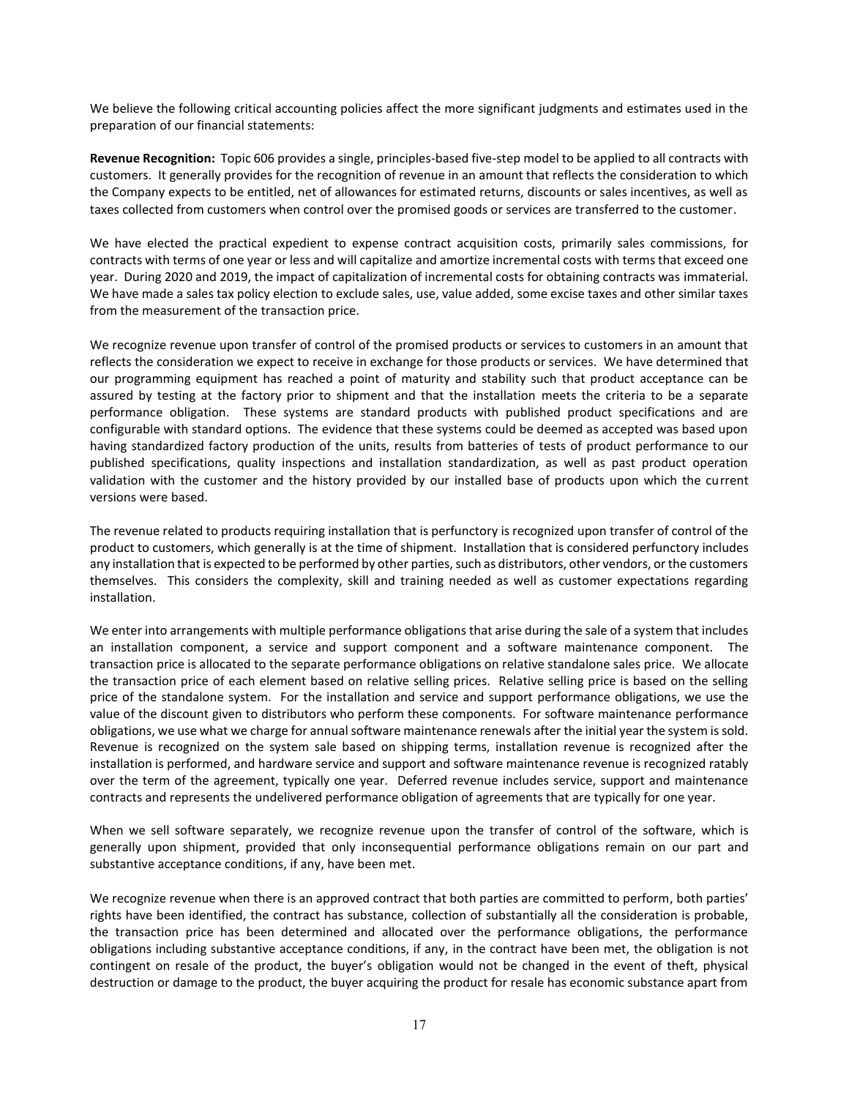We believe the following critical accounting policies affect the more significant judgments and estimates used in the preparation of our financial statements:

**Revenue Recognition:** Topic 606 provides a single, principles-based five-step model to be applied to all contracts with customers. It generally provides for the recognition of revenue in an amount that reflects the consideration to which the Company expects to be entitled, net of allowances for estimated returns, discounts or sales incentives, as well as taxes collected from customers when control over the promised goods or services are transferred to the customer.

We have elected the practical expedient to expense contract acquisition costs, primarily sales commissions, for contracts with terms of one year or less and will capitalize and amortize incremental costs with terms that exceed one year. During 2020 and 2019, the impact of capitalization of incremental costs for obtaining contracts was immaterial. We have made a sales tax policy election to exclude sales, use, value added, some excise taxes and other similar taxes from the measurement of the transaction price.

We recognize revenue upon transfer of control of the promised products or services to customers in an amount that reflects the consideration we expect to receive in exchange for those products or services. We have determined that our programming equipment has reached a point of maturity and stability such that product acceptance can be assured by testing at the factory prior to shipment and that the installation meets the criteria to be a separate performance obligation. These systems are standard products with published product specifications and are configurable with standard options. The evidence that these systems could be deemed as accepted was based upon having standardized factory production of the units, results from batteries of tests of product performance to our published specifications, quality inspections and installation standardization, as well as past product operation validation with the customer and the history provided by our installed base of products upon which the current versions were based.

The revenue related to products requiring installation that is perfunctory is recognized upon transfer of control of the product to customers, which generally is at the time of shipment. Installation that is considered perfunctory includes any installation that is expected to be performed by other parties, such as distributors, other vendors, or the customers themselves. This considers the complexity, skill and training needed as well as customer expectations regarding installation.

We enter into arrangements with multiple performance obligations that arise during the sale of a system that includes an installation component, a service and support component and a software maintenance component. The transaction price is allocated to the separate performance obligations on relative standalone sales price. We allocate the transaction price of each element based on relative selling prices. Relative selling price is based on the selling price of the standalone system. For the installation and service and support performance obligations, we use the value of the discount given to distributors who perform these components. For software maintenance performance obligations, we use what we charge for annual software maintenance renewals after the initial year the system is sold. Revenue is recognized on the system sale based on shipping terms, installation revenue is recognized after the installation is performed, and hardware service and support and software maintenance revenue is recognized ratably over the term of the agreement, typically one year. Deferred revenue includes service, support and maintenance contracts and represents the undelivered performance obligation of agreements that are typically for one year.

When we sell software separately, we recognize revenue upon the transfer of control of the software, which is generally upon shipment, provided that only inconsequential performance obligations remain on our part and substantive acceptance conditions, if any, have been met.

We recognize revenue when there is an approved contract that both parties are committed to perform, both parties' rights have been identified, the contract has substance, collection of substantially all the consideration is probable, the transaction price has been determined and allocated over the performance obligations, the performance obligations including substantive acceptance conditions, if any, in the contract have been met, the obligation is not contingent on resale of the product, the buyer's obligation would not be changed in the event of theft, physical destruction or damage to the product, the buyer acquiring the product for resale has economic substance apart from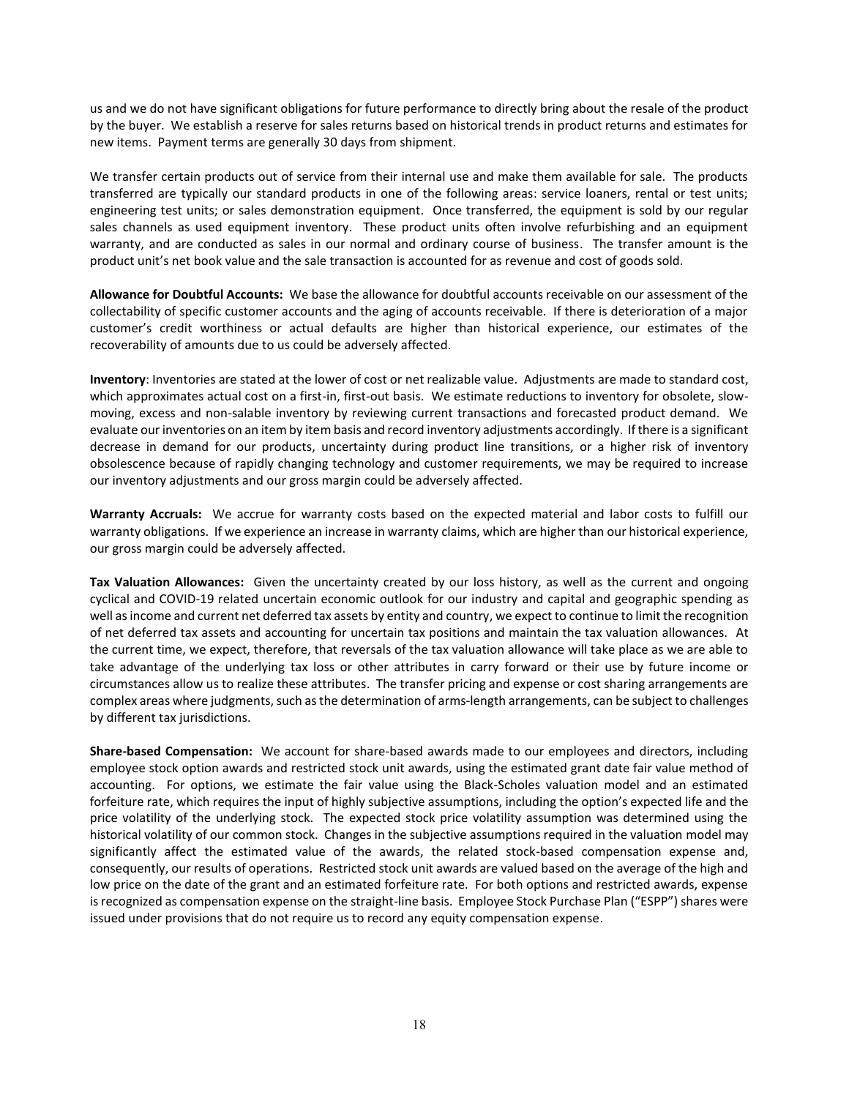us and we do not have significant obligations for future performance to directly bring about the resale of the product by the buyer. We establish a reserve for sales returns based on historical trends in product returns and estimates for new items. Payment terms are generally 30 days from shipment.

We transfer certain products out of service from their internal use and make them available for sale. The products transferred are typically our standard products in one of the following areas: service loaners, rental or test units; engineering test units; or sales demonstration equipment. Once transferred, the equipment is sold by our regular sales channels as used equipment inventory. These product units often involve refurbishing and an equipment warranty, and are conducted as sales in our normal and ordinary course of business. The transfer amount is the product unit's net book value and the sale transaction is accounted for as revenue and cost of goods sold.

**Allowance for Doubtful Accounts:** We base the allowance for doubtful accounts receivable on our assessment of the collectability of specific customer accounts and the aging of accounts receivable. If there is deterioration of a major customer's credit worthiness or actual defaults are higher than historical experience, our estimates of the recoverability of amounts due to us could be adversely affected.

**Inventory**: Inventories are stated at the lower of cost or net realizable value. Adjustments are made to standard cost, which approximates actual cost on a first-in, first-out basis. We estimate reductions to inventory for obsolete, slowmoving, excess and non-salable inventory by reviewing current transactions and forecasted product demand. We evaluate our inventories on an item by item basis and record inventory adjustments accordingly. If there is a significant decrease in demand for our products, uncertainty during product line transitions, or a higher risk of inventory obsolescence because of rapidly changing technology and customer requirements, we may be required to increase our inventory adjustments and our gross margin could be adversely affected.

**Warranty Accruals:** We accrue for warranty costs based on the expected material and labor costs to fulfill our warranty obligations. If we experience an increase in warranty claims, which are higher than our historical experience, our gross margin could be adversely affected.

**Tax Valuation Allowances:** Given the uncertainty created by our loss history, as well as the current and ongoing cyclical and COVID-19 related uncertain economic outlook for our industry and capital and geographic spending as well as income and current net deferred tax assets by entity and country, we expect to continue to limit the recognition of net deferred tax assets and accounting for uncertain tax positions and maintain the tax valuation allowances. At the current time, we expect, therefore, that reversals of the tax valuation allowance will take place as we are able to take advantage of the underlying tax loss or other attributes in carry forward or their use by future income or circumstances allow us to realize these attributes. The transfer pricing and expense or cost sharing arrangements are complex areas where judgments, such as the determination of arms-length arrangements, can be subject to challenges by different tax jurisdictions.

**Share-based Compensation:** We account for share-based awards made to our employees and directors, including employee stock option awards and restricted stock unit awards, using the estimated grant date fair value method of accounting. For options, we estimate the fair value using the Black-Scholes valuation model and an estimated forfeiture rate, which requires the input of highly subjective assumptions, including the option's expected life and the price volatility of the underlying stock. The expected stock price volatility assumption was determined using the historical volatility of our common stock. Changes in the subjective assumptions required in the valuation model may significantly affect the estimated value of the awards, the related stock-based compensation expense and, consequently, our results of operations. Restricted stock unit awards are valued based on the average of the high and low price on the date of the grant and an estimated forfeiture rate. For both options and restricted awards, expense is recognized as compensation expense on the straight-line basis. Employee Stock Purchase Plan ("ESPP") shares were issued under provisions that do not require us to record any equity compensation expense.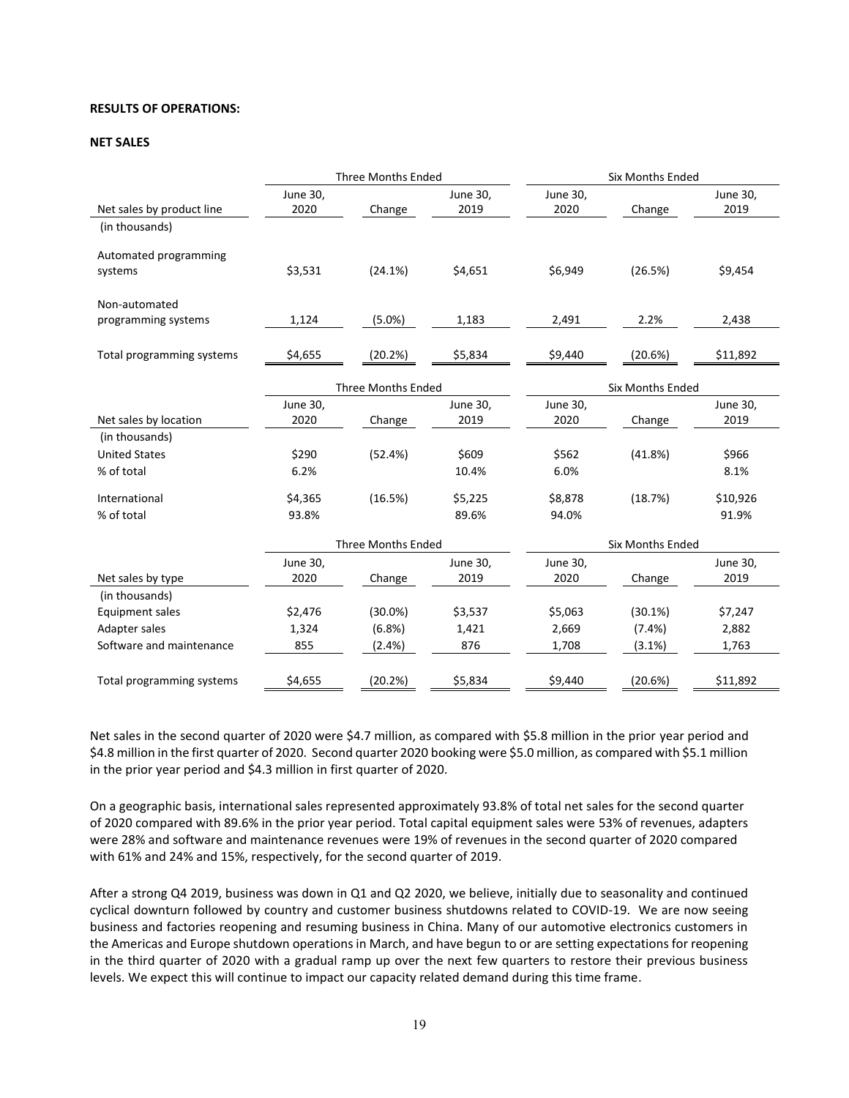#### **RESULTS OF OPERATIONS:**

#### **NET SALES**

|                           | <b>Three Months Ended</b> |            | Six Months Ended |                         |                         |          |
|---------------------------|---------------------------|------------|------------------|-------------------------|-------------------------|----------|
|                           | June 30,                  |            | June 30,         | June 30,                |                         | June 30, |
| Net sales by product line | 2020                      | Change     | 2019             | 2020                    | Change                  | 2019     |
| (in thousands)            |                           |            |                  |                         |                         |          |
| Automated programming     |                           |            |                  |                         |                         |          |
| systems                   | \$3,531                   | (24.1%)    | \$4,651          | \$6,949                 | (26.5%)                 | \$9,454  |
| Non-automated             |                           |            |                  |                         |                         |          |
| programming systems       | 1,124                     | $(5.0\%)$  | 1,183            | 2,491                   | 2.2%                    | 2,438    |
| Total programming systems | \$4,655                   | (20.2%)    | \$5,834          | \$9,440                 | (20.6%)                 | \$11,892 |
|                           | <b>Three Months Ended</b> |            |                  |                         | <b>Six Months Ended</b> |          |
|                           | June 30,                  |            | June 30,         | June 30,                |                         | June 30, |
| Net sales by location     | 2020                      | Change     | 2019             | 2020                    | Change                  | 2019     |
| (in thousands)            |                           |            |                  |                         |                         |          |
| <b>United States</b>      | \$290                     | (52.4%)    | \$609            | \$562                   | (41.8%)                 | \$966    |
| % of total                | 6.2%                      |            | 10.4%            | 6.0%                    |                         | 8.1%     |
| International             | \$4,365                   | (16.5%)    | \$5,225          | \$8,878                 | (18.7%)                 | \$10,926 |
| % of total                | 93.8%                     |            | 89.6%            | 94.0%                   |                         | 91.9%    |
|                           | <b>Three Months Ended</b> |            |                  | <b>Six Months Ended</b> |                         |          |
|                           | June 30,                  |            | June 30,         | June 30,                |                         | June 30, |
| Net sales by type         | 2020                      | Change     | 2019             | 2020                    | Change                  | 2019     |
| (in thousands)            |                           |            |                  |                         |                         |          |
| Equipment sales           | \$2,476                   | $(30.0\%)$ | \$3,537          | \$5,063                 | (30.1%)                 | \$7,247  |
| Adapter sales             | 1,324                     | (6.8%)     | 1,421            | 2,669                   | (7.4% )                 | 2,882    |
| Software and maintenance  | 855                       | (2.4% )    | 876              | 1,708                   | $(3.1\%)$               | 1,763    |
| Total programming systems | \$4,655                   | (20.2%)    | \$5,834          | \$9,440                 | (20.6%)                 | \$11,892 |

Net sales in the second quarter of 2020 were \$4.7 million, as compared with \$5.8 million in the prior year period and \$4.8 million in the first quarter of 2020. Second quarter 2020 booking were \$5.0 million, as compared with \$5.1 million in the prior year period and \$4.3 million in first quarter of 2020.

On a geographic basis, international sales represented approximately 93.8% of total net sales for the second quarter of 2020 compared with 89.6% in the prior year period. Total capital equipment sales were 53% of revenues, adapters were 28% and software and maintenance revenues were 19% of revenues in the second quarter of 2020 compared with 61% and 24% and 15%, respectively, for the second quarter of 2019.

After a strong Q4 2019, business was down in Q1 and Q2 2020, we believe, initially due to seasonality and continued cyclical downturn followed by country and customer business shutdowns related to COVID-19. We are now seeing business and factories reopening and resuming business in China. Many of our automotive electronics customers in the Americas and Europe shutdown operations in March, and have begun to or are setting expectations for reopening in the third quarter of 2020 with a gradual ramp up over the next few quarters to restore their previous business levels. We expect this will continue to impact our capacity related demand during this time frame.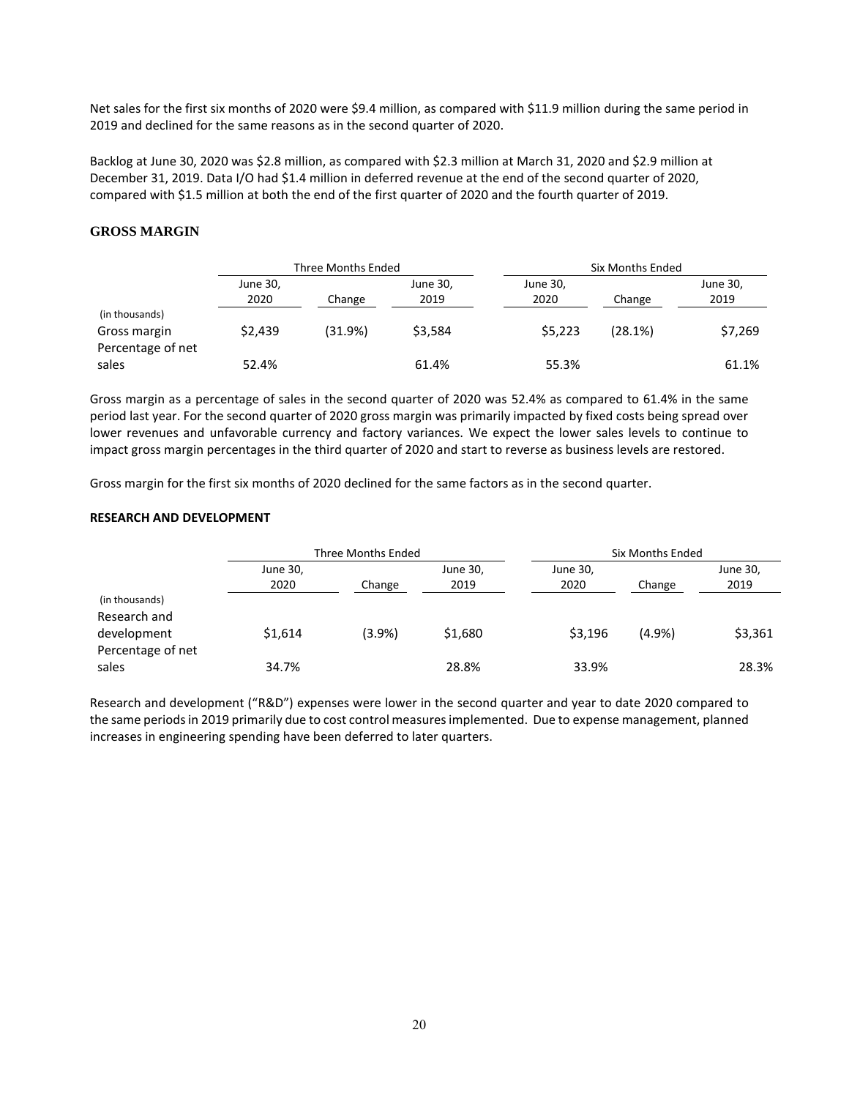Net sales for the first six months of 2020 were \$9.4 million, as compared with \$11.9 million during the same period in 2019 and declined for the same reasons as in the second quarter of 2020.

Backlog at June 30, 2020 was \$2.8 million, as compared with \$2.3 million at March 31, 2020 and \$2.9 million at December 31, 2019. Data I/O had \$1.4 million in deferred revenue at the end of the second quarter of 2020, compared with \$1.5 million at both the end of the first quarter of 2020 and the fourth quarter of 2019.

### **GROSS MARGIN**

|                                | Three Months Ended |         |                  | Six Months Ended |         |                  |
|--------------------------------|--------------------|---------|------------------|------------------|---------|------------------|
|                                | June 30,<br>2020   | Change  | June 30,<br>2019 | June 30,<br>2020 | Change  | June 30,<br>2019 |
| (in thousands)<br>Gross margin | \$2,439            | (31.9%) | \$3,584          | \$5,223          | (28.1%) | \$7,269          |
| Percentage of net<br>sales     | 52.4%              |         | 61.4%            | 55.3%            |         | 61.1%            |

Gross margin as a percentage of sales in the second quarter of 2020 was 52.4% as compared to 61.4% in the same period last year. For the second quarter of 2020 gross margin was primarily impacted by fixed costs being spread over lower revenues and unfavorable currency and factory variances. We expect the lower sales levels to continue to impact gross margin percentages in the third quarter of 2020 and start to reverse as business levels are restored.

Gross margin for the first six months of 2020 declined for the same factors as in the second quarter.

#### **RESEARCH AND DEVELOPMENT**

|                   | Three Months Ended |           |                  | Six Months Ended |           |                  |
|-------------------|--------------------|-----------|------------------|------------------|-----------|------------------|
|                   | June 30,<br>2020   | Change    | June 30,<br>2019 | June 30,<br>2020 | Change    | June 30,<br>2019 |
| (in thousands)    |                    |           |                  |                  |           |                  |
| Research and      |                    |           |                  |                  |           |                  |
| development       | \$1,614            | $(3.9\%)$ | \$1,680          | \$3,196          | $(4.9\%)$ | \$3,361          |
| Percentage of net |                    |           |                  |                  |           |                  |
| sales             | 34.7%              |           | 28.8%            | 33.9%            |           | 28.3%            |

Research and development ("R&D") expenses were lower in the second quarter and year to date 2020 compared to the same periodsin 2019 primarily due to cost control measures implemented. Due to expense management, planned increases in engineering spending have been deferred to later quarters.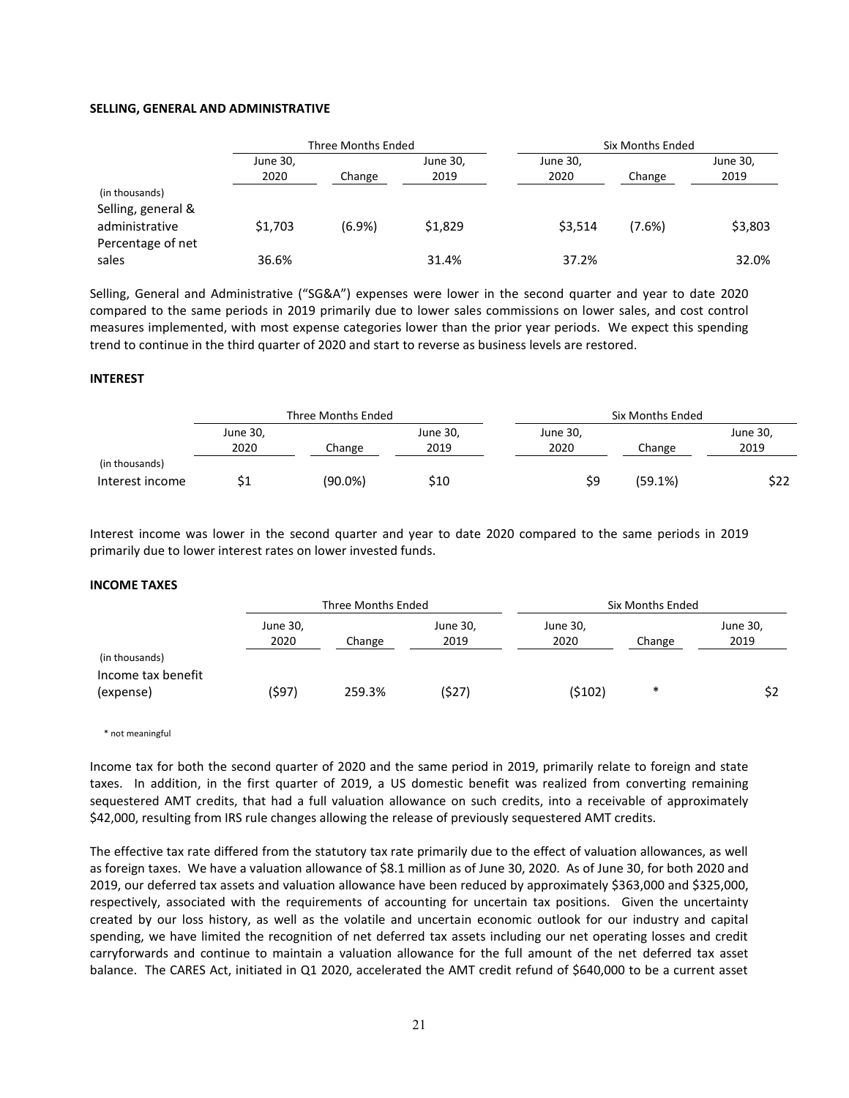#### **SELLING, GENERAL AND ADMINISTRATIVE**

|                                                                             | Three Months Ended |           |                  | Six Months Ended |           |                  |
|-----------------------------------------------------------------------------|--------------------|-----------|------------------|------------------|-----------|------------------|
|                                                                             | June 30,<br>2020   | Change    | June 30,<br>2019 | June 30,<br>2020 | Change    | June 30,<br>2019 |
| (in thousands)<br>Selling, general &<br>administrative<br>Percentage of net | \$1,703            | $(6.9\%)$ | \$1,829          | \$3.514          | $(7.6\%)$ | \$3,803          |
| sales                                                                       | 36.6%              |           | 31.4%            | 37.2%            |           | 32.0%            |

Selling, General and Administrative ("SG&A") expenses were lower in the second quarter and year to date 2020 compared to the same periods in 2019 primarily due to lower sales commissions on lower sales, and cost control measures implemented, with most expense categories lower than the prior year periods. We expect this spending trend to continue in the third quarter of 2020 and start to reverse as business levels are restored.

#### **INTEREST**

|                 | Three Months Ended |         |          |          | Six Months Ended |          |
|-----------------|--------------------|---------|----------|----------|------------------|----------|
|                 | June 30,           |         | June 30, | June 30, |                  | June 30, |
|                 | 2020               | Change  | 2019     | 2020     | Change           | 2019     |
| (in thousands)  |                    |         |          |          |                  |          |
| Interest income |                    | (90.0%) | \$10     | \$9      | (59.1%)          | \$22     |

Interest income was lower in the second quarter and year to date 2020 compared to the same periods in 2019 primarily due to lower interest rates on lower invested funds.

#### **INCOME TAXES**

|                                      | Three Months Ended |        |                  | Six Months Ended |        |                  |
|--------------------------------------|--------------------|--------|------------------|------------------|--------|------------------|
|                                      | June 30,<br>2020   | Change | June 30,<br>2019 | June 30,<br>2020 | Change | June 30,<br>2019 |
| (in thousands)<br>Income tax benefit | (\$97)             | 259.3% | (\$27)           | (5102)           | ∗      | ሖ ኅ              |
| (expense)                            |                    |        |                  |                  |        |                  |

#### \* not meaningful

Income tax for both the second quarter of 2020 and the same period in 2019, primarily relate to foreign and state taxes. In addition, in the first quarter of 2019, a US domestic benefit was realized from converting remaining sequestered AMT credits, that had a full valuation allowance on such credits, into a receivable of approximately \$42,000, resulting from IRS rule changes allowing the release of previously sequestered AMT credits.

The effective tax rate differed from the statutory tax rate primarily due to the effect of valuation allowances, as well as foreign taxes. We have a valuation allowance of \$8.1 million as of June 30, 2020. As of June 30, for both 2020 and 2019, our deferred tax assets and valuation allowance have been reduced by approximately \$363,000 and \$325,000, respectively, associated with the requirements of accounting for uncertain tax positions. Given the uncertainty created by our loss history, as well as the volatile and uncertain economic outlook for our industry and capital spending, we have limited the recognition of net deferred tax assets including our net operating losses and credit carryforwards and continue to maintain a valuation allowance for the full amount of the net deferred tax asset balance. The CARES Act, initiated in Q1 2020, accelerated the AMT credit refund of \$640,000 to be a current asset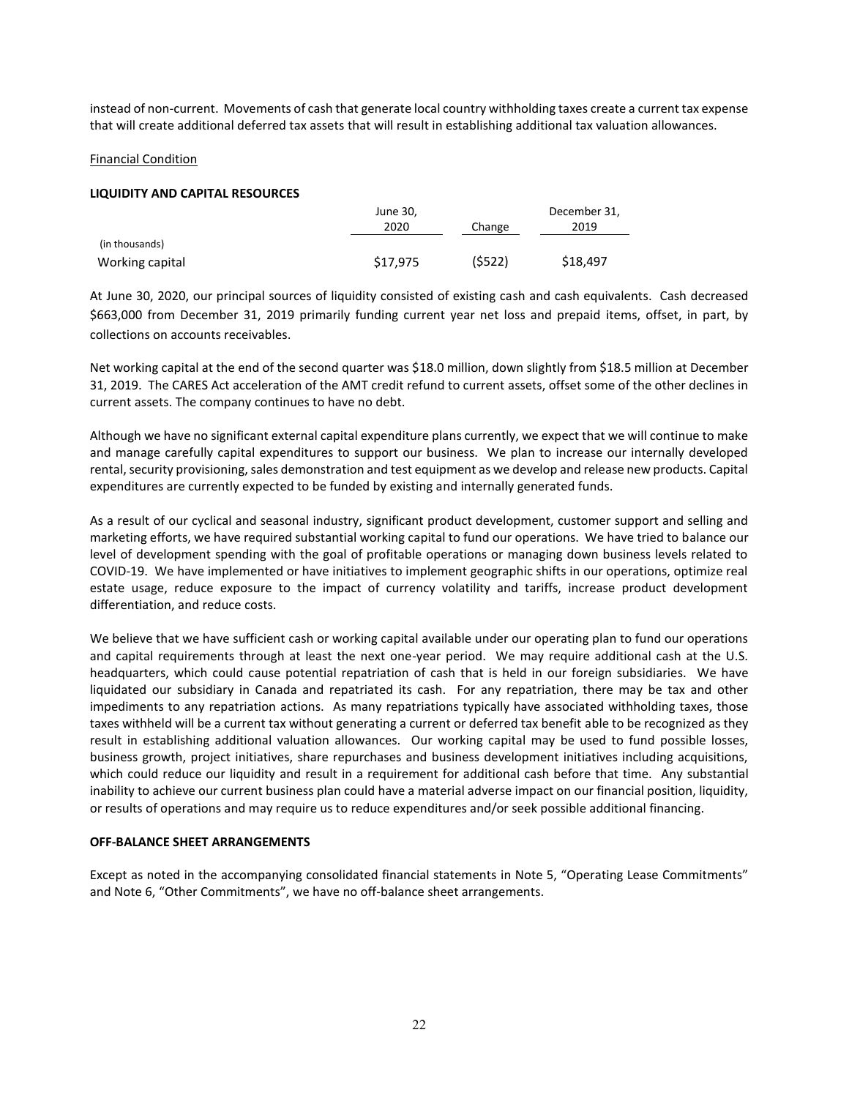instead of non-current. Movements of cash that generate local country withholding taxes create a current tax expense that will create additional deferred tax assets that will result in establishing additional tax valuation allowances.

#### Financial Condition

#### **LIQUIDITY AND CAPITAL RESOURCES**

|                 | June 30, |        |          |  |
|-----------------|----------|--------|----------|--|
|                 | 2020     | Change | 2019     |  |
| (in thousands)  |          |        |          |  |
| Working capital | \$17,975 | (5522) | \$18,497 |  |

At June 30, 2020, our principal sources of liquidity consisted of existing cash and cash equivalents. Cash decreased \$663,000 from December 31, 2019 primarily funding current year net loss and prepaid items, offset, in part, by collections on accounts receivables.

Net working capital at the end of the second quarter was \$18.0 million, down slightly from \$18.5 million at December 31, 2019. The CARES Act acceleration of the AMT credit refund to current assets, offset some of the other declines in current assets. The company continues to have no debt.

Although we have no significant external capital expenditure plans currently, we expect that we will continue to make and manage carefully capital expenditures to support our business. We plan to increase our internally developed rental, security provisioning, sales demonstration and test equipment as we develop and release new products. Capital expenditures are currently expected to be funded by existing and internally generated funds.

As a result of our cyclical and seasonal industry, significant product development, customer support and selling and marketing efforts, we have required substantial working capital to fund our operations. We have tried to balance our level of development spending with the goal of profitable operations or managing down business levels related to COVID-19. We have implemented or have initiatives to implement geographic shifts in our operations, optimize real estate usage, reduce exposure to the impact of currency volatility and tariffs, increase product development differentiation, and reduce costs.

We believe that we have sufficient cash or working capital available under our operating plan to fund our operations and capital requirements through at least the next one-year period. We may require additional cash at the U.S. headquarters, which could cause potential repatriation of cash that is held in our foreign subsidiaries. We have liquidated our subsidiary in Canada and repatriated its cash. For any repatriation, there may be tax and other impediments to any repatriation actions. As many repatriations typically have associated withholding taxes, those taxes withheld will be a current tax without generating a current or deferred tax benefit able to be recognized as they result in establishing additional valuation allowances. Our working capital may be used to fund possible losses, business growth, project initiatives, share repurchases and business development initiatives including acquisitions, which could reduce our liquidity and result in a requirement for additional cash before that time. Any substantial inability to achieve our current business plan could have a material adverse impact on our financial position, liquidity, or results of operations and may require us to reduce expenditures and/or seek possible additional financing.

#### **OFF-BALANCE SHEET ARRANGEMENTS**

Except as noted in the accompanying consolidated financial statements in Note 5, "Operating Lease Commitments" and Note 6, "Other Commitments", we have no off-balance sheet arrangements.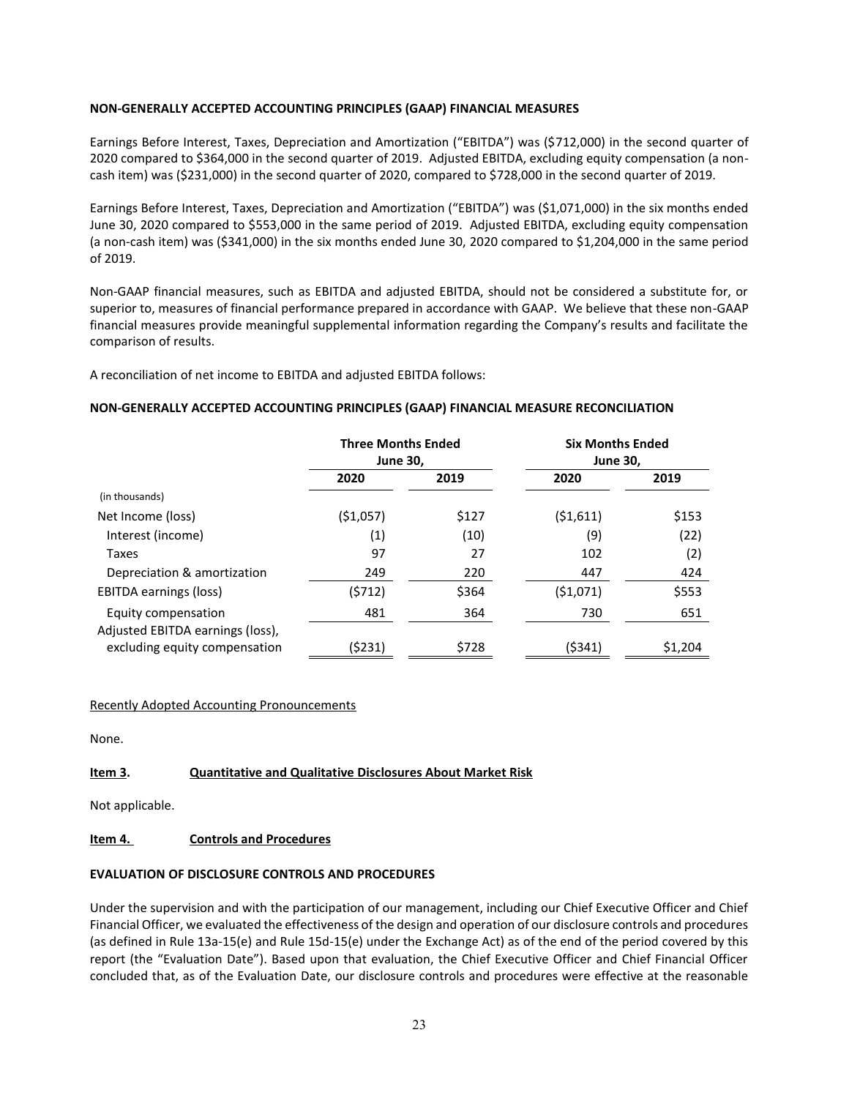## **NON-GENERALLY ACCEPTED ACCOUNTING PRINCIPLES (GAAP) FINANCIAL MEASURES**

Earnings Before Interest, Taxes, Depreciation and Amortization ("EBITDA") was (\$712,000) in the second quarter of 2020 compared to \$364,000 in the second quarter of 2019. Adjusted EBITDA, excluding equity compensation (a noncash item) was (\$231,000) in the second quarter of 2020, compared to \$728,000 in the second quarter of 2019.

Earnings Before Interest, Taxes, Depreciation and Amortization ("EBITDA") was (\$1,071,000) in the six months ended June 30, 2020 compared to \$553,000 in the same period of 2019. Adjusted EBITDA, excluding equity compensation (a non-cash item) was (\$341,000) in the six months ended June 30, 2020 compared to \$1,204,000 in the same period of 2019.

Non-GAAP financial measures, such as EBITDA and adjusted EBITDA, should not be considered a substitute for, or superior to, measures of financial performance prepared in accordance with GAAP. We believe that these non-GAAP financial measures provide meaningful supplemental information regarding the Company's results and facilitate the comparison of results.

A reconciliation of net income to EBITDA and adjusted EBITDA follows:

## **NON-GENERALLY ACCEPTED ACCOUNTING PRINCIPLES (GAAP) FINANCIAL MEASURE RECONCILIATION**

|                                                                   | <b>Three Months Ended</b><br><b>June 30,</b> |       | <b>Six Months Ended</b><br><b>June 30,</b> |         |
|-------------------------------------------------------------------|----------------------------------------------|-------|--------------------------------------------|---------|
|                                                                   | 2020                                         | 2019  | 2020                                       | 2019    |
| (in thousands)                                                    |                                              |       |                                            |         |
| Net Income (loss)                                                 | ( \$1,057)                                   | \$127 | (51,611)                                   | \$153   |
| Interest (income)                                                 | (1)                                          | (10)  | (9)                                        | (22)    |
| Taxes                                                             | 97                                           | 27    | 102                                        | (2)     |
| Depreciation & amortization                                       | 249                                          | 220   | 447                                        | 424     |
| <b>EBITDA earnings (loss)</b>                                     | (5712)                                       | \$364 | (51,071)                                   | \$553   |
| Equity compensation                                               | 481                                          | 364   | 730                                        | 651     |
| Adjusted EBITDA earnings (loss),<br>excluding equity compensation | (\$231)                                      | \$728 | (\$341)                                    | \$1,204 |

#### Recently Adopted Accounting Pronouncements

None.

## **Item 3. Quantitative and Qualitative Disclosures About Market Risk**

Not applicable.

## **Item 4. Controls and Procedures**

#### **EVALUATION OF DISCLOSURE CONTROLS AND PROCEDURES**

Under the supervision and with the participation of our management, including our Chief Executive Officer and Chief Financial Officer, we evaluated the effectiveness of the design and operation of our disclosure controls and procedures (as defined in Rule 13a-15(e) and Rule 15d-15(e) under the Exchange Act) as of the end of the period covered by this report (the "Evaluation Date"). Based upon that evaluation, the Chief Executive Officer and Chief Financial Officer concluded that, as of the Evaluation Date, our disclosure controls and procedures were effective at the reasonable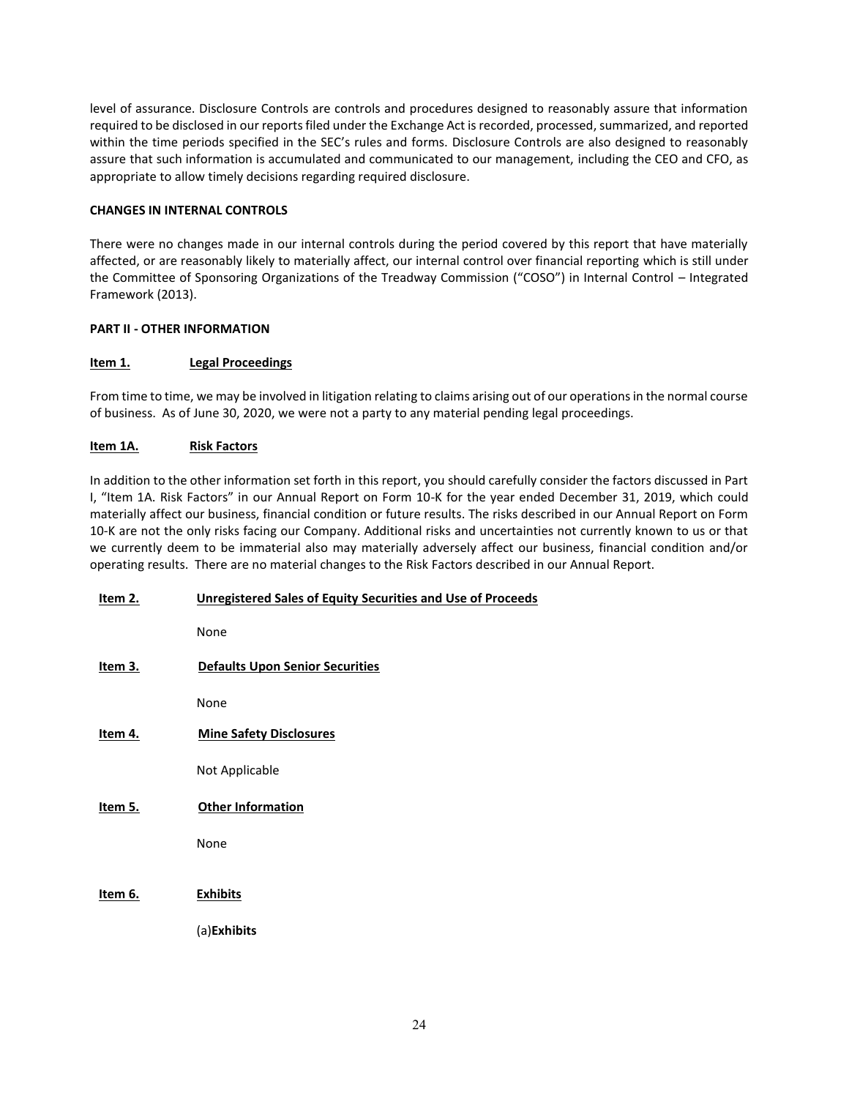level of assurance. Disclosure Controls are controls and procedures designed to reasonably assure that information required to be disclosed in our reports filed under the Exchange Act is recorded, processed, summarized, and reported within the time periods specified in the SEC's rules and forms. Disclosure Controls are also designed to reasonably assure that such information is accumulated and communicated to our management, including the CEO and CFO, as appropriate to allow timely decisions regarding required disclosure.

## **CHANGES IN INTERNAL CONTROLS**

There were no changes made in our internal controls during the period covered by this report that have materially affected, or are reasonably likely to materially affect, our internal control over financial reporting which is still under the Committee of Sponsoring Organizations of the Treadway Commission ("COSO") in Internal Control – Integrated Framework (2013).

## **PART II - OTHER INFORMATION**

## **Item 1. Legal Proceedings**

From time to time, we may be involved in litigation relating to claims arising out of our operations in the normal course of business. As of June 30, 2020, we were not a party to any material pending legal proceedings.

## **Item 1A. Risk Factors**

In addition to the other information set forth in this report, you should carefully consider the factors discussed in Part I, "Item 1A. Risk Factors" in our Annual Report on Form 10-K for the year ended December 31, 2019, which could materially affect our business, financial condition or future results. The risks described in our Annual Report on Form 10-K are not the only risks facing our Company. Additional risks and uncertainties not currently known to us or that we currently deem to be immaterial also may materially adversely affect our business, financial condition and/or operating results. There are no material changes to the Risk Factors described in our Annual Report.

# **Item 2. Unregistered Sales of Equity Securities and Use of Proceeds** None

**Item 3. Defaults Upon Senior Securities**

None

**Item 4. Mine Safety Disclosures**

Not Applicable

**Item 5. Other Information**

None

**Item 6. Exhibits**

(a)**Exhibits**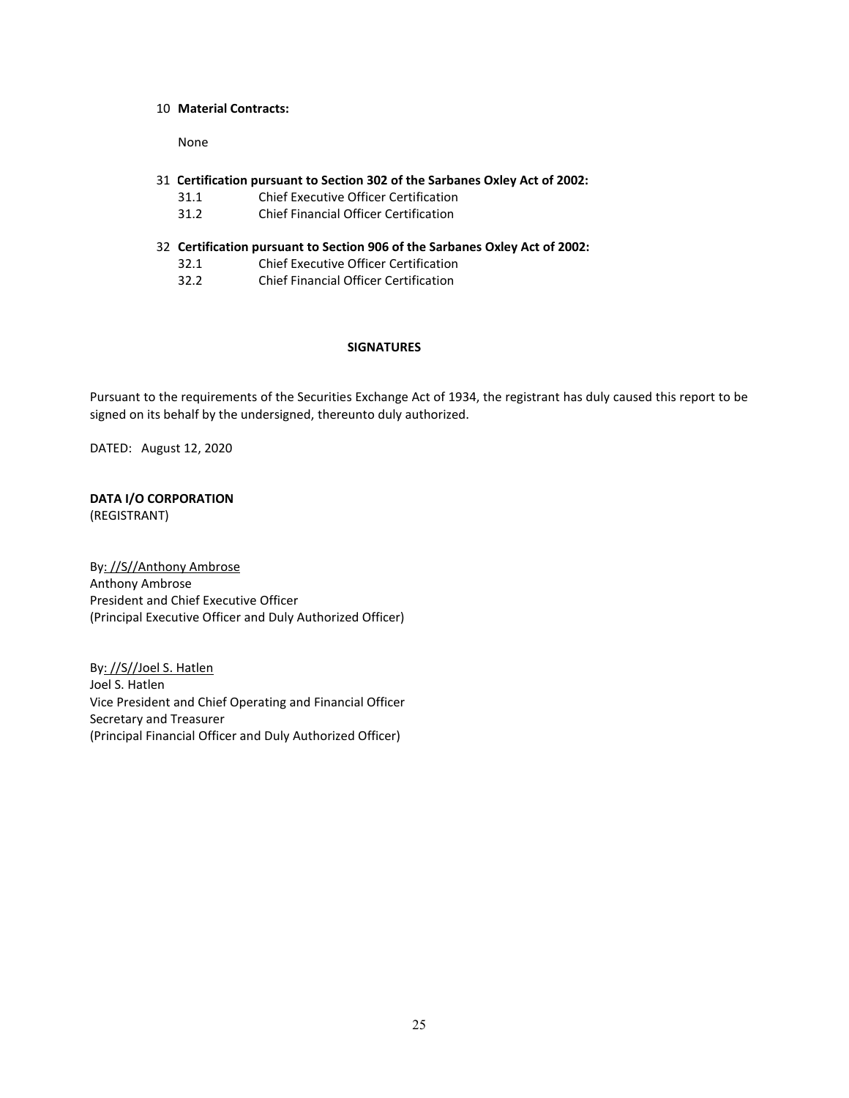#### 10 **Material Contracts:**

None

## 31 **Certification pursuant to Section 302 of the Sarbanes Oxley Act of 2002:**

- 31.1 Chief Executive Officer Certification
- 31.2 Chief Financial Officer Certification

#### 32 **Certification pursuant to Section 906 of the Sarbanes Oxley Act of 2002:**

- 32.1 Chief Executive Officer Certification
- 32.2 Chief Financial Officer Certification

#### **SIGNATURES**

Pursuant to the requirements of the Securities Exchange Act of 1934, the registrant has duly caused this report to be signed on its behalf by the undersigned, thereunto duly authorized.

DATED: August 12, 2020

## **DATA I/O CORPORATION**

(REGISTRANT)

By: //S//Anthony Ambrose Anthony Ambrose President and Chief Executive Officer (Principal Executive Officer and Duly Authorized Officer)

By: //S//Joel S. Hatlen Joel S. Hatlen Vice President and Chief Operating and Financial Officer Secretary and Treasurer (Principal Financial Officer and Duly Authorized Officer)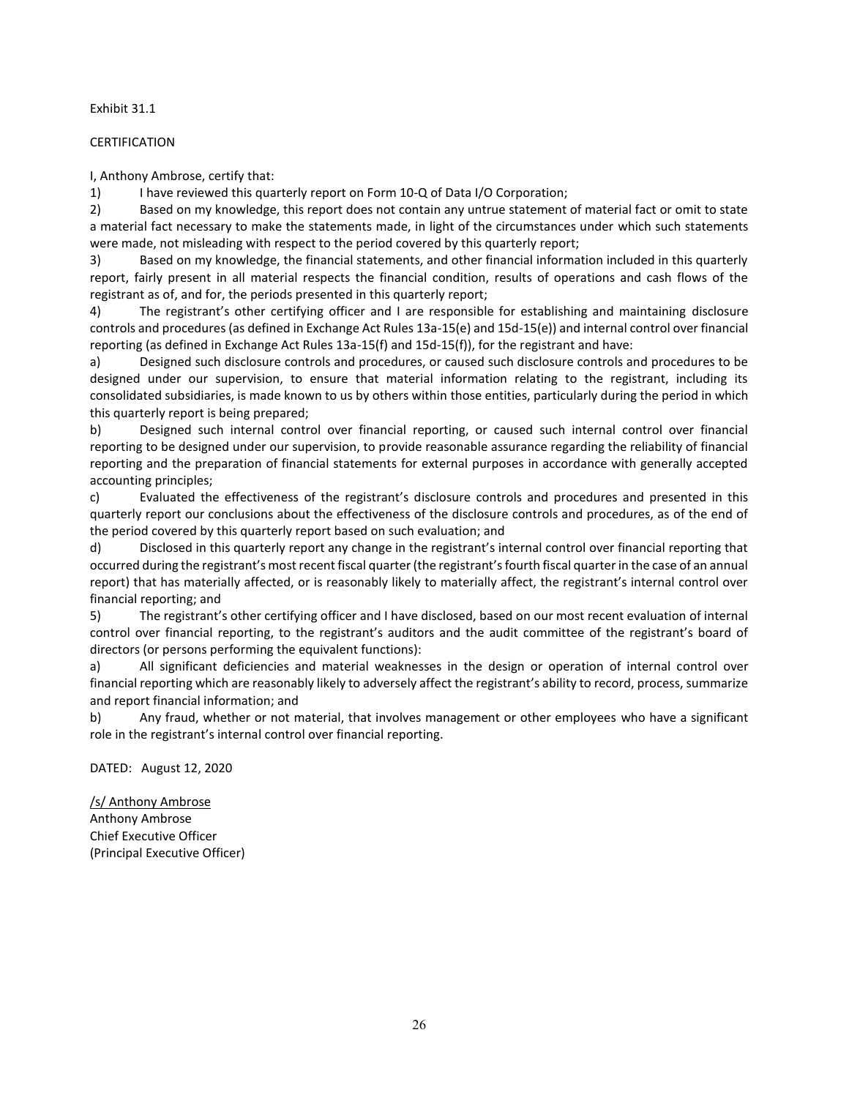#### Exhibit 31.1

#### CERTIFICATION

I, Anthony Ambrose, certify that:

1) I have reviewed this quarterly report on Form 10-Q of Data I/O Corporation;

2) Based on my knowledge, this report does not contain any untrue statement of material fact or omit to state a material fact necessary to make the statements made, in light of the circumstances under which such statements were made, not misleading with respect to the period covered by this quarterly report;

3) Based on my knowledge, the financial statements, and other financial information included in this quarterly report, fairly present in all material respects the financial condition, results of operations and cash flows of the registrant as of, and for, the periods presented in this quarterly report;

4) The registrant's other certifying officer and I are responsible for establishing and maintaining disclosure controls and procedures (as defined in Exchange Act Rules 13a-15(e) and 15d-15(e)) and internal control over financial reporting (as defined in Exchange Act Rules 13a-15(f) and 15d-15(f)), for the registrant and have:

a) Designed such disclosure controls and procedures, or caused such disclosure controls and procedures to be designed under our supervision, to ensure that material information relating to the registrant, including its consolidated subsidiaries, is made known to us by others within those entities, particularly during the period in which this quarterly report is being prepared;

b) Designed such internal control over financial reporting, or caused such internal control over financial reporting to be designed under our supervision, to provide reasonable assurance regarding the reliability of financial reporting and the preparation of financial statements for external purposes in accordance with generally accepted accounting principles;

c) Evaluated the effectiveness of the registrant's disclosure controls and procedures and presented in this quarterly report our conclusions about the effectiveness of the disclosure controls and procedures, as of the end of the period covered by this quarterly report based on such evaluation; and

d) Disclosed in this quarterly report any change in the registrant's internal control over financial reporting that occurred during the registrant's most recent fiscal quarter (the registrant's fourth fiscal quarter in the case of an annual report) that has materially affected, or is reasonably likely to materially affect, the registrant's internal control over financial reporting; and

5) The registrant's other certifying officer and I have disclosed, based on our most recent evaluation of internal control over financial reporting, to the registrant's auditors and the audit committee of the registrant's board of directors (or persons performing the equivalent functions):

a) All significant deficiencies and material weaknesses in the design or operation of internal control over financial reporting which are reasonably likely to adversely affect the registrant's ability to record, process, summarize and report financial information; and

b) Any fraud, whether or not material, that involves management or other employees who have a significant role in the registrant's internal control over financial reporting.

DATED: August 12, 2020

/s/ Anthony Ambrose Anthony Ambrose Chief Executive Officer (Principal Executive Officer)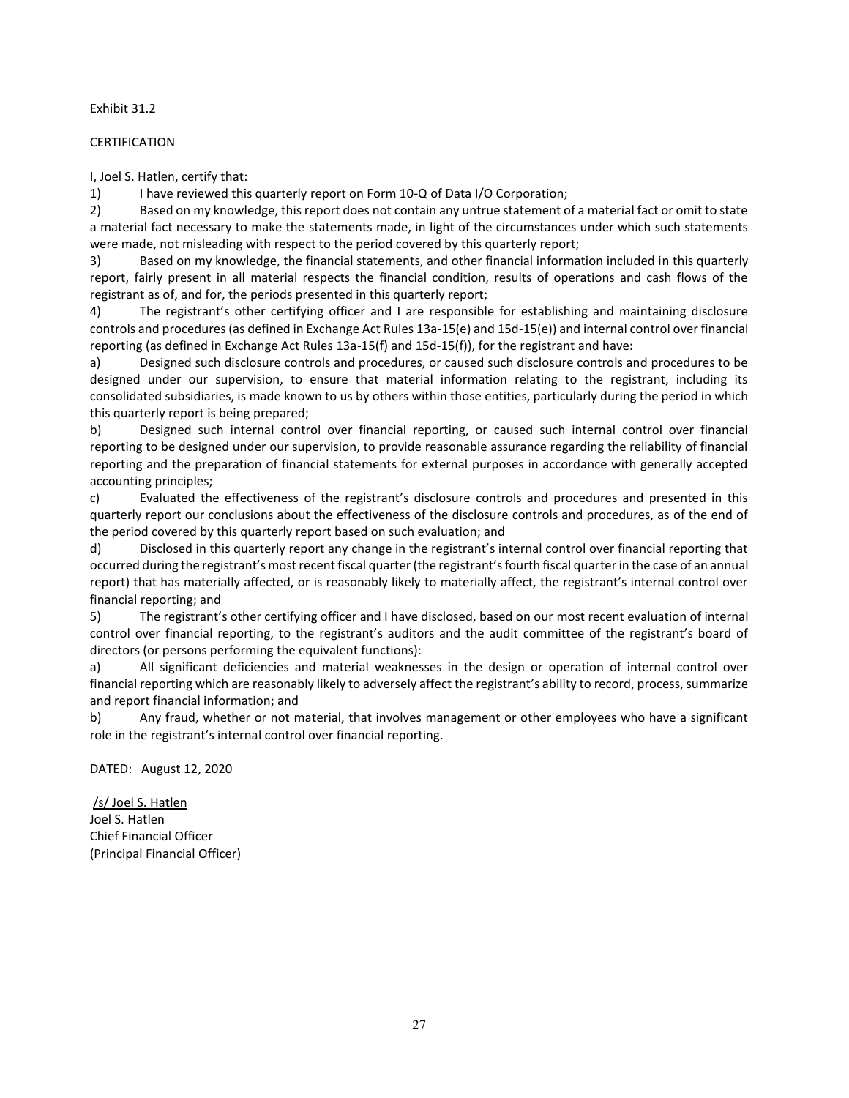#### Exhibit 31.2

#### CERTIFICATION

I, Joel S. Hatlen, certify that:

1) I have reviewed this quarterly report on Form 10-Q of Data I/O Corporation;

2) Based on my knowledge, this report does not contain any untrue statement of a material fact or omit to state a material fact necessary to make the statements made, in light of the circumstances under which such statements were made, not misleading with respect to the period covered by this quarterly report;

3) Based on my knowledge, the financial statements, and other financial information included in this quarterly report, fairly present in all material respects the financial condition, results of operations and cash flows of the registrant as of, and for, the periods presented in this quarterly report;

4) The registrant's other certifying officer and I are responsible for establishing and maintaining disclosure controls and procedures (as defined in Exchange Act Rules 13a-15(e) and 15d-15(e)) and internal control over financial reporting (as defined in Exchange Act Rules 13a-15(f) and 15d-15(f)), for the registrant and have:

a) Designed such disclosure controls and procedures, or caused such disclosure controls and procedures to be designed under our supervision, to ensure that material information relating to the registrant, including its consolidated subsidiaries, is made known to us by others within those entities, particularly during the period in which this quarterly report is being prepared;

b) Designed such internal control over financial reporting, or caused such internal control over financial reporting to be designed under our supervision, to provide reasonable assurance regarding the reliability of financial reporting and the preparation of financial statements for external purposes in accordance with generally accepted accounting principles;

c) Evaluated the effectiveness of the registrant's disclosure controls and procedures and presented in this quarterly report our conclusions about the effectiveness of the disclosure controls and procedures, as of the end of the period covered by this quarterly report based on such evaluation; and

d) Disclosed in this quarterly report any change in the registrant's internal control over financial reporting that occurred during the registrant's most recent fiscal quarter (the registrant's fourth fiscal quarter in the case of an annual report) that has materially affected, or is reasonably likely to materially affect, the registrant's internal control over financial reporting; and

5) The registrant's other certifying officer and I have disclosed, based on our most recent evaluation of internal control over financial reporting, to the registrant's auditors and the audit committee of the registrant's board of directors (or persons performing the equivalent functions):

a) All significant deficiencies and material weaknesses in the design or operation of internal control over financial reporting which are reasonably likely to adversely affect the registrant's ability to record, process, summarize and report financial information; and

b) Any fraud, whether or not material, that involves management or other employees who have a significant role in the registrant's internal control over financial reporting.

DATED: August 12, 2020

/s/ Joel S. Hatlen Joel S. Hatlen Chief Financial Officer (Principal Financial Officer)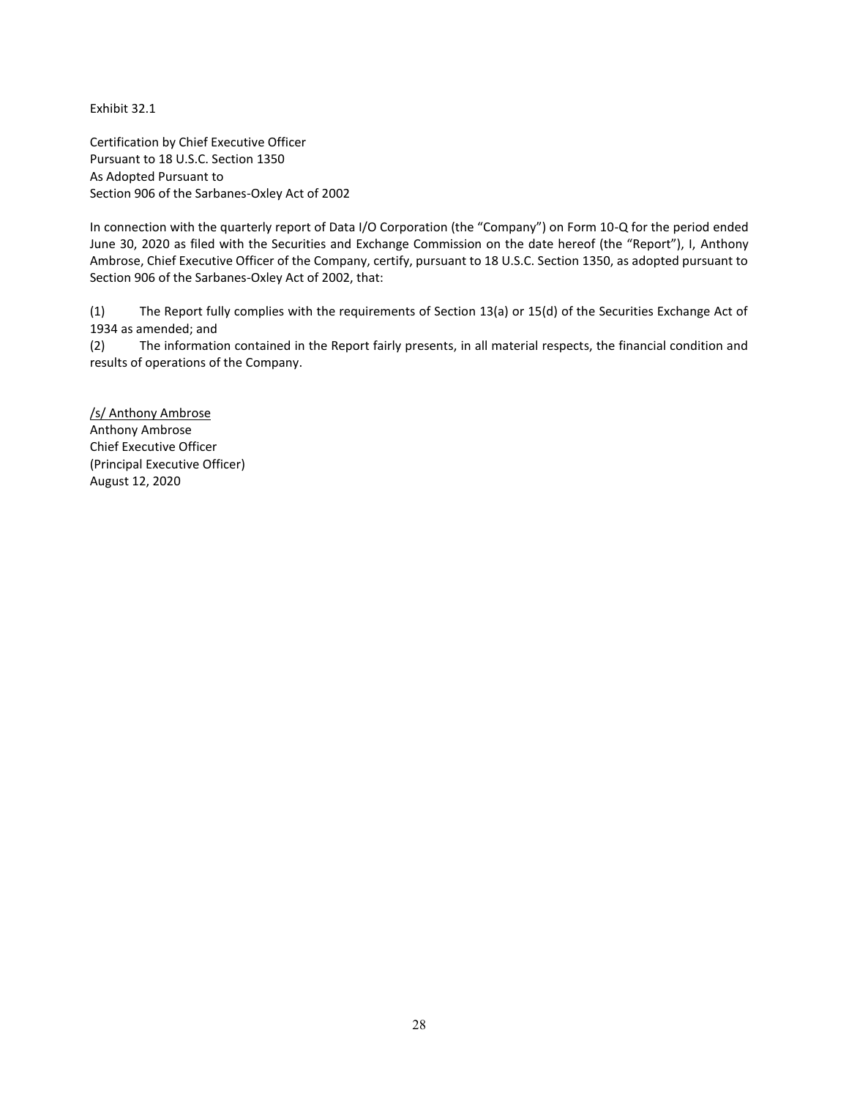Exhibit 32.1

Certification by Chief Executive Officer Pursuant to 18 U.S.C. Section 1350 As Adopted Pursuant to Section 906 of the Sarbanes-Oxley Act of 2002

In connection with the quarterly report of Data I/O Corporation (the "Company") on Form 10-Q for the period ended June 30, 2020 as filed with the Securities and Exchange Commission on the date hereof (the "Report"), I, Anthony Ambrose, Chief Executive Officer of the Company, certify, pursuant to 18 U.S.C. Section 1350, as adopted pursuant to Section 906 of the Sarbanes-Oxley Act of 2002, that:

(1) The Report fully complies with the requirements of Section 13(a) or 15(d) of the Securities Exchange Act of 1934 as amended; and

(2) The information contained in the Report fairly presents, in all material respects, the financial condition and results of operations of the Company.

/s/ Anthony Ambrose Anthony Ambrose Chief Executive Officer (Principal Executive Officer) August 12, 2020